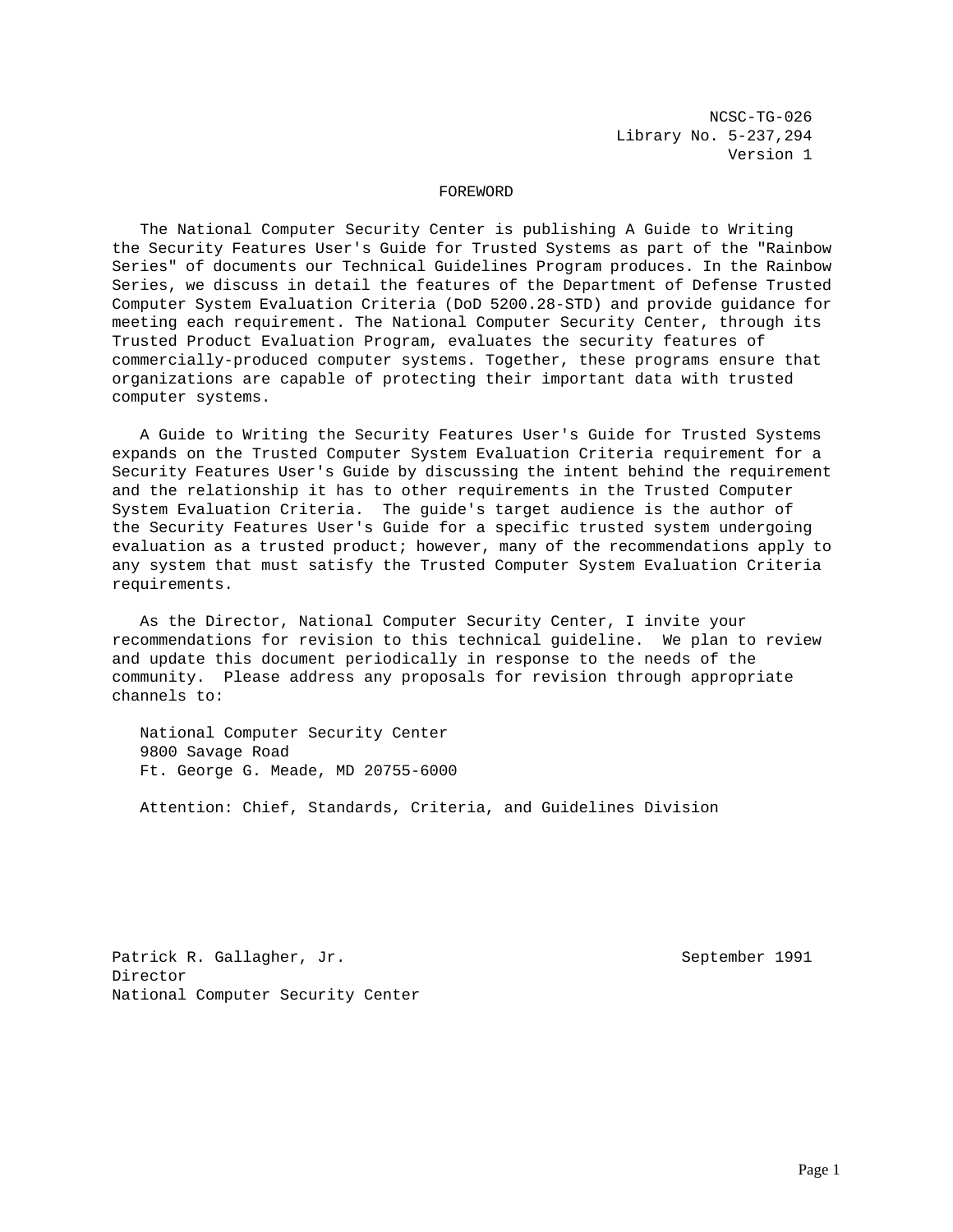NCSC-TG-026 Library No. 5-237,294 Version 1

#### FOREWORD

 The National Computer Security Center is publishing A Guide to Writing the Security Features User's Guide for Trusted Systems as part of the "Rainbow Series" of documents our Technical Guidelines Program produces. In the Rainbow Series, we discuss in detail the features of the Department of Defense Trusted Computer System Evaluation Criteria (DoD 5200.28-STD) and provide guidance for meeting each requirement. The National Computer Security Center, through its Trusted Product Evaluation Program, evaluates the security features of commercially-produced computer systems. Together, these programs ensure that organizations are capable of protecting their important data with trusted computer systems.

 A Guide to Writing the Security Features User's Guide for Trusted Systems expands on the Trusted Computer System Evaluation Criteria requirement for a Security Features User's Guide by discussing the intent behind the requirement and the relationship it has to other requirements in the Trusted Computer System Evaluation Criteria. The guide's target audience is the author of the Security Features User's Guide for a specific trusted system undergoing evaluation as a trusted product; however, many of the recommendations apply to any system that must satisfy the Trusted Computer System Evaluation Criteria requirements.

 As the Director, National Computer Security Center, I invite your recommendations for revision to this technical guideline. We plan to review and update this document periodically in response to the needs of the community. Please address any proposals for revision through appropriate channels to:

 National Computer Security Center 9800 Savage Road Ft. George G. Meade, MD 20755-6000

Attention: Chief, Standards, Criteria, and Guidelines Division

Patrick R. Gallagher, Jr. September 1991 Director National Computer Security Center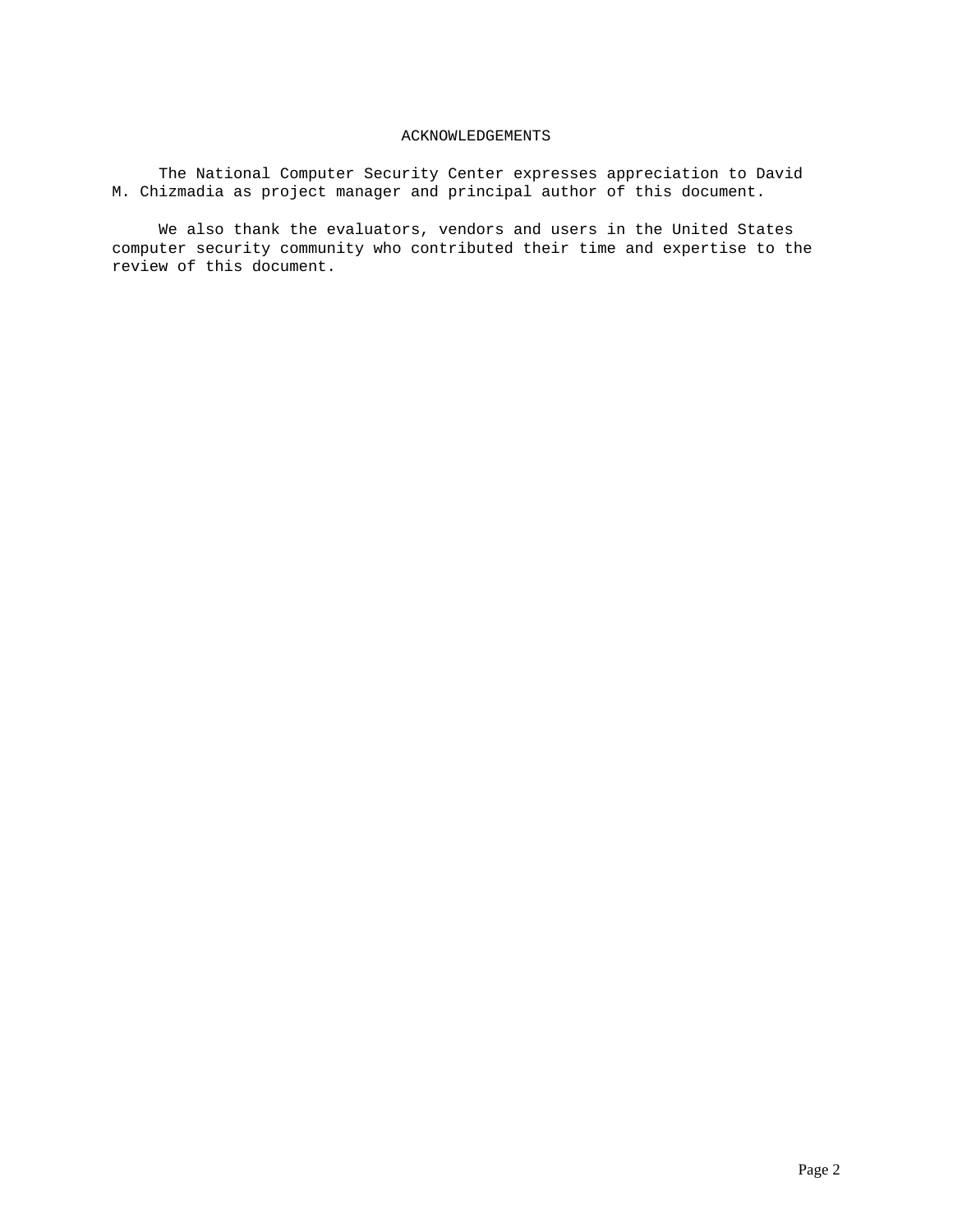# ACKNOWLEDGEMENTS

 The National Computer Security Center expresses appreciation to David M. Chizmadia as project manager and principal author of this document.

 We also thank the evaluators, vendors and users in the United States computer security community who contributed their time and expertise to the review of this document.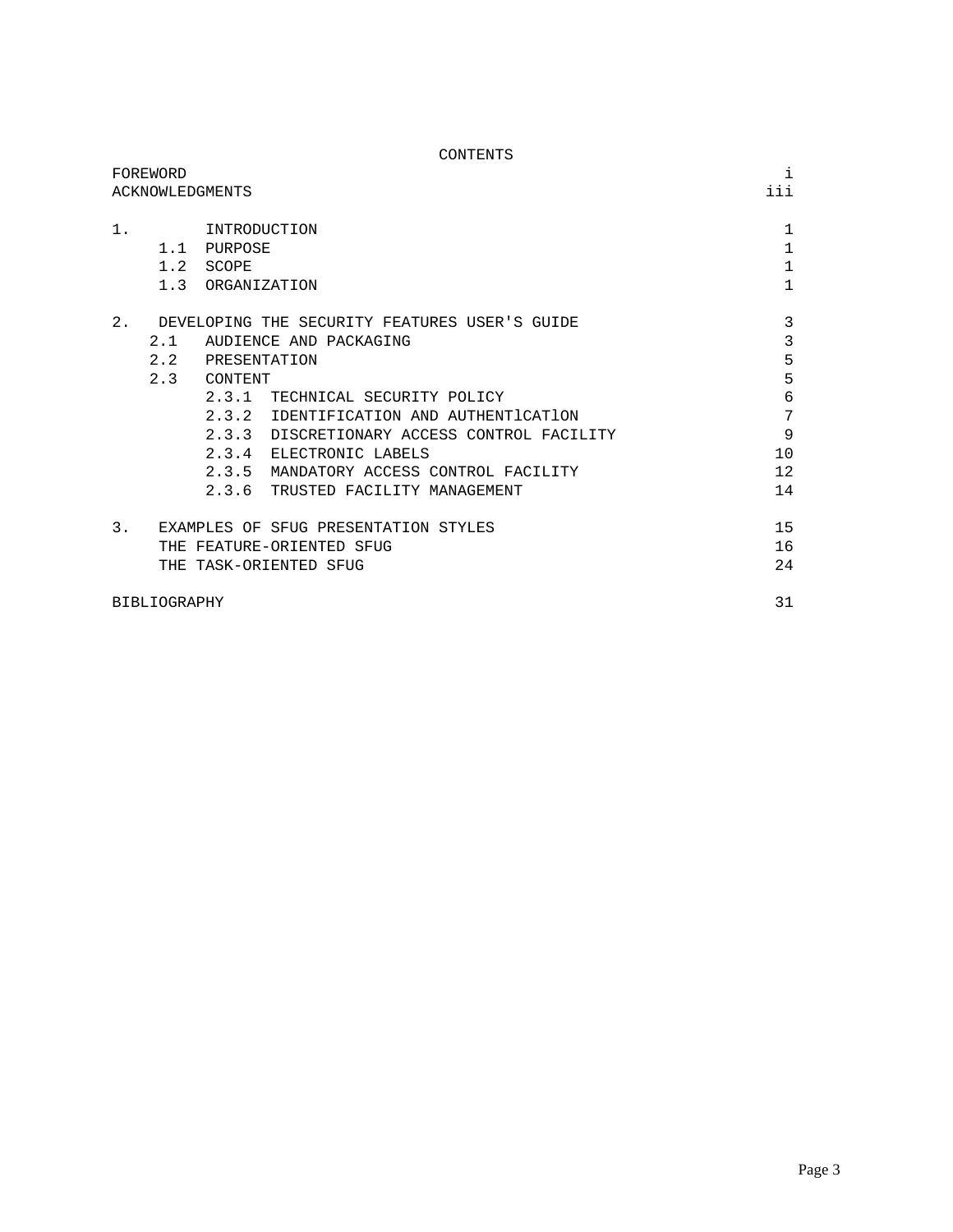| CONTENTS                                                                                                                                                                                                                                                                                                                                                        |                                                              |
|-----------------------------------------------------------------------------------------------------------------------------------------------------------------------------------------------------------------------------------------------------------------------------------------------------------------------------------------------------------------|--------------------------------------------------------------|
| FOREWORD<br>ACKNOWLEDGMENTS                                                                                                                                                                                                                                                                                                                                     | i<br>iii                                                     |
| 1.<br>INTRODUCTION<br>1.1 PURPOSE<br>1.2 SCOPE<br>1.3 ORGANIZATION                                                                                                                                                                                                                                                                                              | $\mathbf{1}$<br>$\mathbf{1}$<br>$\mathbf{1}$<br>$\mathbf{1}$ |
| 2.<br>DEVELOPING THE SECURITY FEATURES USER'S GUIDE<br>2.1<br>AUDIENCE AND PACKAGING<br>2.2 PRESENTATION<br>2.3 CONTENT<br>2.3.1 TECHNICAL SECURITY POLICY<br>2.3.2 IDENTIFICATION AND AUTHENTICATION<br>2.3.3 DISCRETIONARY ACCESS CONTROL FACILITY<br>2.3.4 ELECTRONIC LABELS<br>2.3.5 MANDATORY ACCESS CONTROL FACILITY<br>2.3.6 TRUSTED FACILITY MANAGEMENT | 3<br>3<br>5<br>5<br>6<br>7<br>9<br>10<br>12<br>14            |
| 3.<br>EXAMPLES OF SFUG PRESENTATION STYLES<br>THE FEATURE-ORIENTED SFUG<br>THE TASK-ORIENTED SFUG                                                                                                                                                                                                                                                               | 15<br>16<br>24                                               |
| <b>BIBLIOGRAPHY</b>                                                                                                                                                                                                                                                                                                                                             | 31                                                           |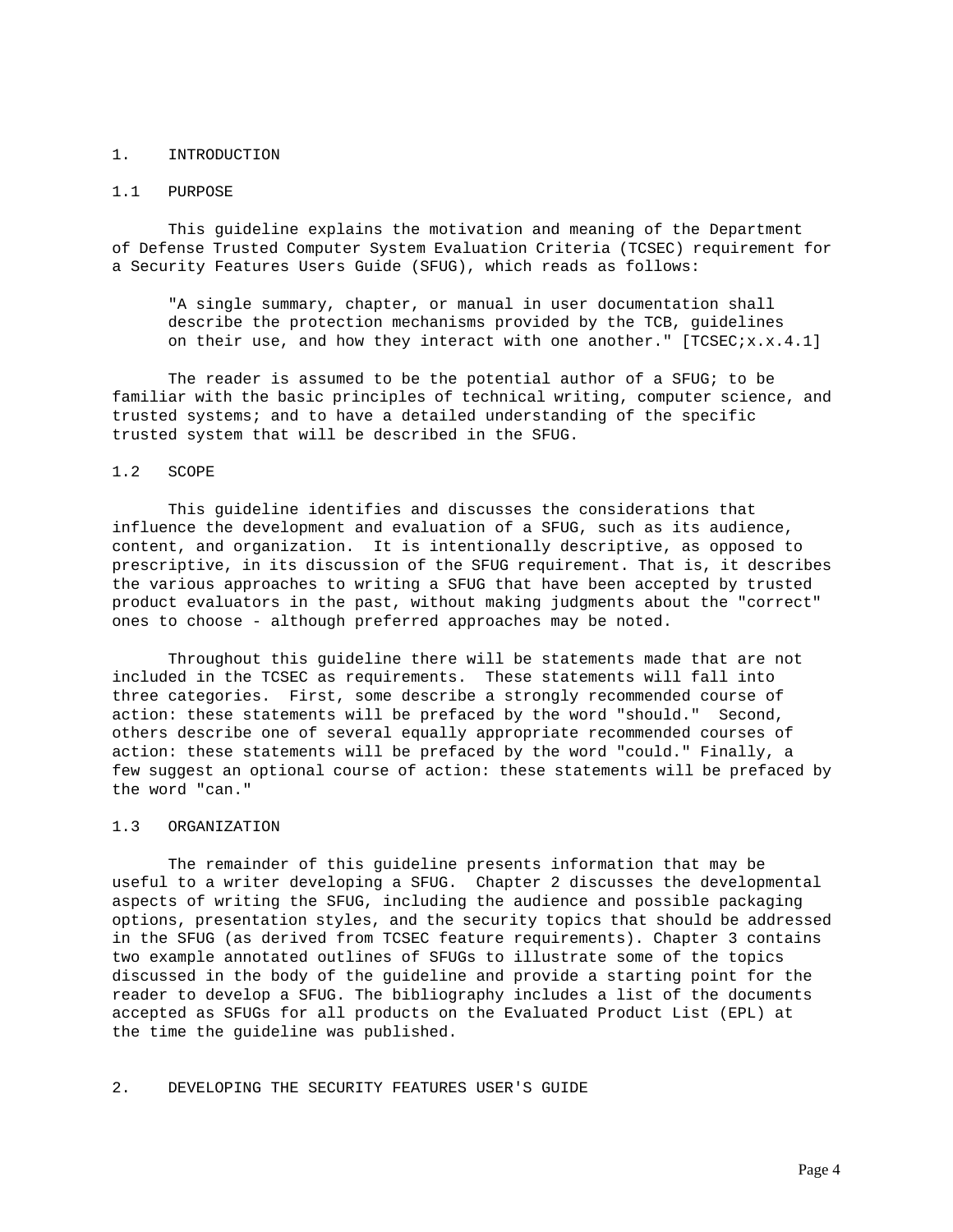#### 1. INTRODUCTION

#### 1.1 PURPOSE

 This guideline explains the motivation and meaning of the Department of Defense Trusted Computer System Evaluation Criteria (TCSEC) requirement for a Security Features Users Guide (SFUG), which reads as follows:

 "A single summary, chapter, or manual in user documentation shall describe the protection mechanisms provided by the TCB, guidelines on their use, and how they interact with one another." [TCSEC;x.x.4.1]

 The reader is assumed to be the potential author of a SFUG; to be familiar with the basic principles of technical writing, computer science, and trusted systems; and to have a detailed understanding of the specific trusted system that will be described in the SFUG.

### 1.2 SCOPE

 This guideline identifies and discusses the considerations that influence the development and evaluation of a SFUG, such as its audience, content, and organization. It is intentionally descriptive, as opposed to prescriptive, in its discussion of the SFUG requirement. That is, it describes the various approaches to writing a SFUG that have been accepted by trusted product evaluators in the past, without making judgments about the "correct" ones to choose - although preferred approaches may be noted.

 Throughout this guideline there will be statements made that are not included in the TCSEC as requirements. These statements will fall into three categories. First, some describe a strongly recommended course of action: these statements will be prefaced by the word "should." Second, others describe one of several equally appropriate recommended courses of action: these statements will be prefaced by the word "could." Finally, a few suggest an optional course of action: these statements will be prefaced by the word "can."

# 1.3 ORGANIZATION

 The remainder of this guideline presents information that may be useful to a writer developing a SFUG. Chapter 2 discusses the developmental aspects of writing the SFUG, including the audience and possible packaging options, presentation styles, and the security topics that should be addressed in the SFUG (as derived from TCSEC feature requirements). Chapter 3 contains two example annotated outlines of SFUGs to illustrate some of the topics discussed in the body of the guideline and provide a starting point for the reader to develop a SFUG. The bibliography includes a list of the documents accepted as SFUGs for all products on the Evaluated Product List (EPL) at the time the guideline was published.

2. DEVELOPING THE SECURITY FEATURES USER'S GUIDE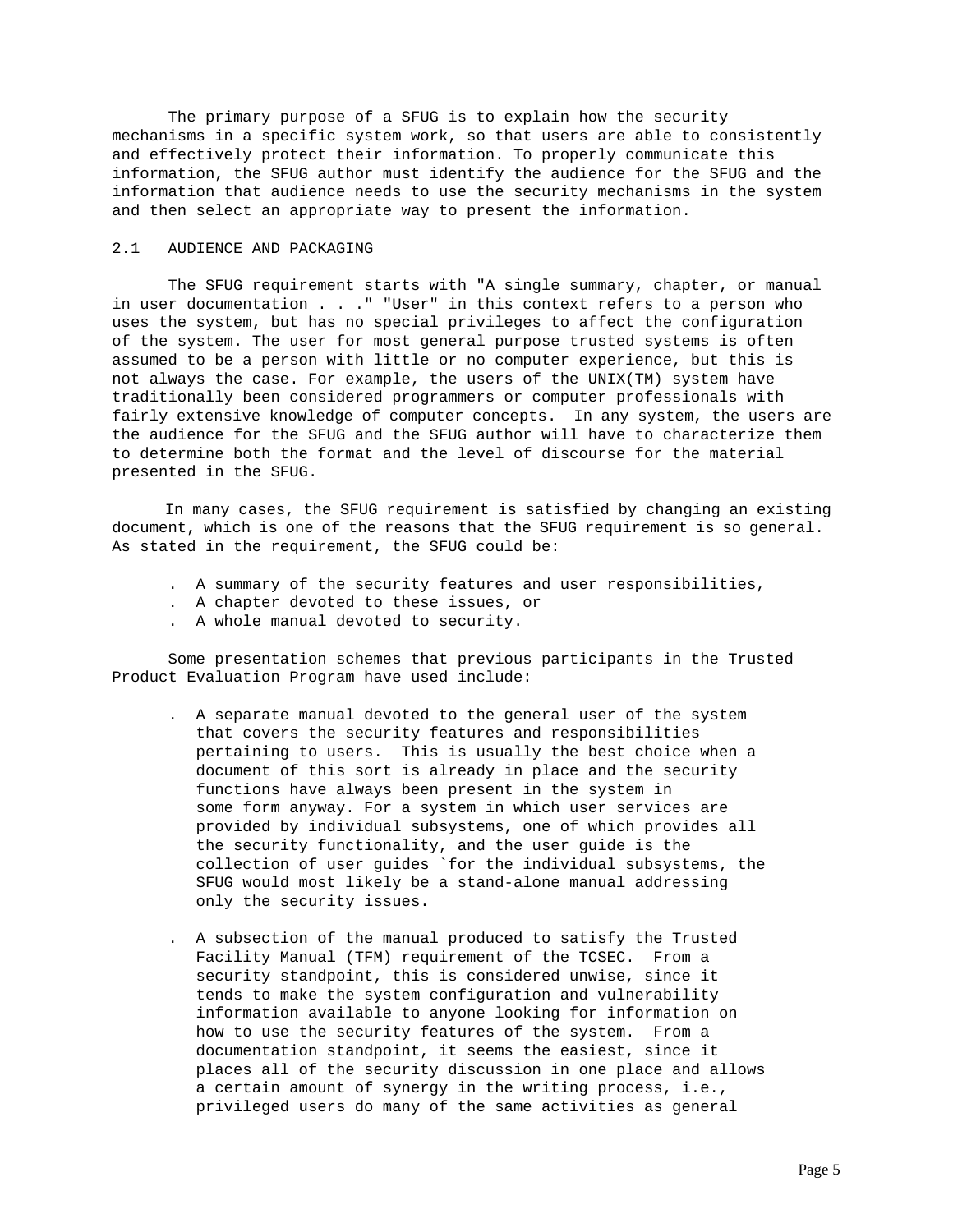The primary purpose of a SFUG is to explain how the security mechanisms in a specific system work, so that users are able to consistently and effectively protect their information. To properly communicate this information, the SFUG author must identify the audience for the SFUG and the information that audience needs to use the security mechanisms in the system and then select an appropriate way to present the information.

# 2.1 AUDIENCE AND PACKAGING

 The SFUG requirement starts with "A single summary, chapter, or manual in user documentation . . ." "User" in this context refers to a person who uses the system, but has no special privileges to affect the configuration of the system. The user for most general purpose trusted systems is often assumed to be a person with little or no computer experience, but this is not always the case. For example, the users of the UNIX(TM) system have traditionally been considered programmers or computer professionals with fairly extensive knowledge of computer concepts. In any system, the users are the audience for the SFUG and the SFUG author will have to characterize them to determine both the format and the level of discourse for the material presented in the SFUG.

 In many cases, the SFUG requirement is satisfied by changing an existing document, which is one of the reasons that the SFUG requirement is so general. As stated in the requirement, the SFUG could be:

- . A summary of the security features and user responsibilities,
- . A chapter devoted to these issues, or
- . A whole manual devoted to security.

 Some presentation schemes that previous participants in the Trusted Product Evaluation Program have used include:

- . A separate manual devoted to the general user of the system that covers the security features and responsibilities pertaining to users. This is usually the best choice when a document of this sort is already in place and the security functions have always been present in the system in some form anyway. For a system in which user services are provided by individual subsystems, one of which provides all the security functionality, and the user guide is the collection of user guides `for the individual subsystems, the SFUG would most likely be a stand-alone manual addressing only the security issues.
- . A subsection of the manual produced to satisfy the Trusted Facility Manual (TFM) requirement of the TCSEC. From a security standpoint, this is considered unwise, since it tends to make the system configuration and vulnerability information available to anyone looking for information on how to use the security features of the system. From a documentation standpoint, it seems the easiest, since it places all of the security discussion in one place and allows a certain amount of synergy in the writing process, i.e., privileged users do many of the same activities as general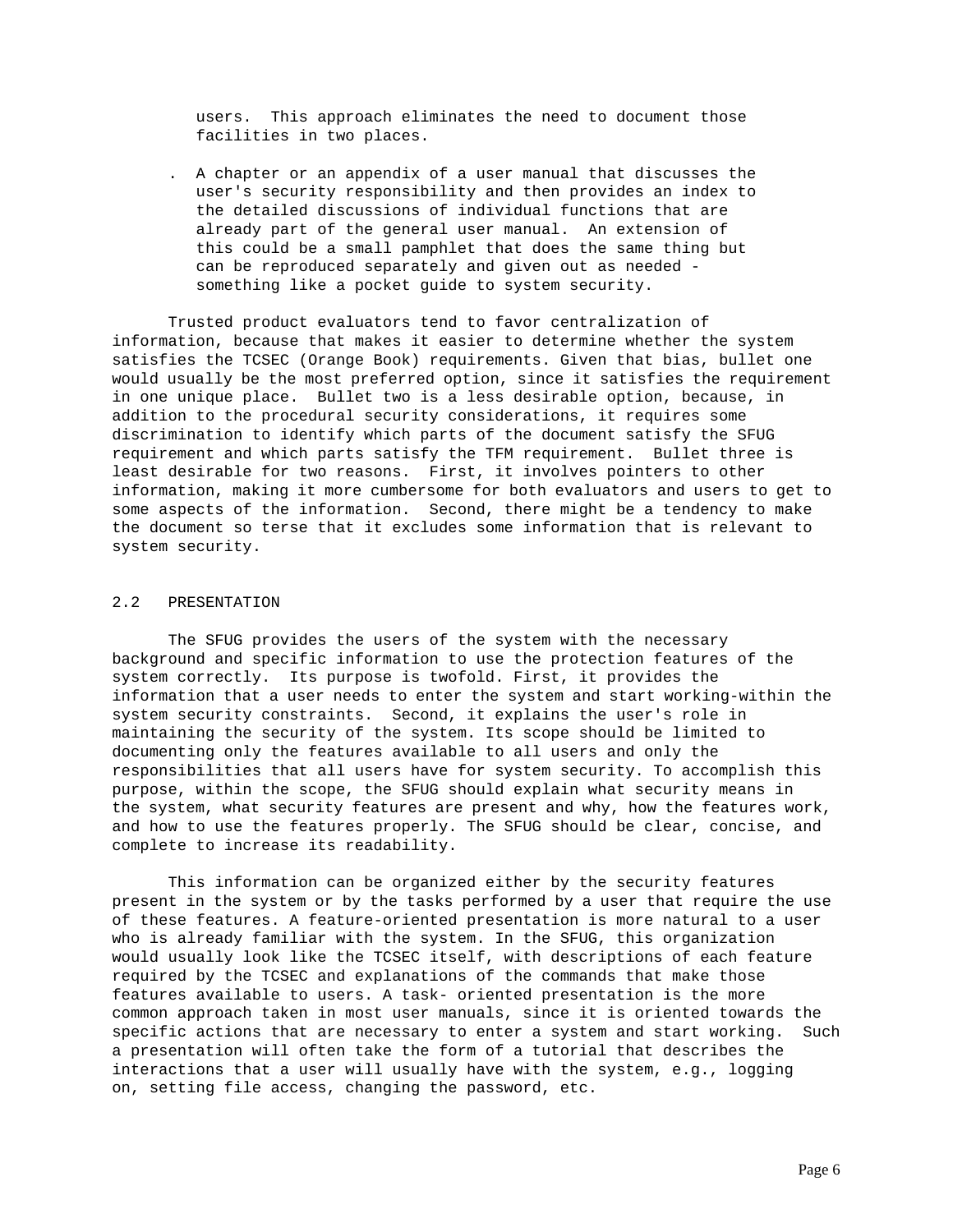users. This approach eliminates the need to document those facilities in two places.

 . A chapter or an appendix of a user manual that discusses the user's security responsibility and then provides an index to the detailed discussions of individual functions that are already part of the general user manual. An extension of this could be a small pamphlet that does the same thing but can be reproduced separately and given out as needed something like a pocket guide to system security.

 Trusted product evaluators tend to favor centralization of information, because that makes it easier to determine whether the system satisfies the TCSEC (Orange Book) requirements. Given that bias, bullet one would usually be the most preferred option, since it satisfies the requirement in one unique place. Bullet two is a less desirable option, because, in addition to the procedural security considerations, it requires some discrimination to identify which parts of the document satisfy the SFUG requirement and which parts satisfy the TFM requirement. Bullet three is least desirable for two reasons. First, it involves pointers to other information, making it more cumbersome for both evaluators and users to get to some aspects of the information. Second, there might be a tendency to make the document so terse that it excludes some information that is relevant to system security.

## 2.2 PRESENTATION

 The SFUG provides the users of the system with the necessary background and specific information to use the protection features of the system correctly. Its purpose is twofold. First, it provides the information that a user needs to enter the system and start working-within the system security constraints. Second, it explains the user's role in maintaining the security of the system. Its scope should be limited to documenting only the features available to all users and only the responsibilities that all users have for system security. To accomplish this purpose, within the scope, the SFUG should explain what security means in the system, what security features are present and why, how the features work, and how to use the features properly. The SFUG should be clear, concise, and complete to increase its readability.

 This information can be organized either by the security features present in the system or by the tasks performed by a user that require the use of these features. A feature-oriented presentation is more natural to a user who is already familiar with the system. In the SFUG, this organization would usually look like the TCSEC itself, with descriptions of each feature required by the TCSEC and explanations of the commands that make those features available to users. A task- oriented presentation is the more common approach taken in most user manuals, since it is oriented towards the specific actions that are necessary to enter a system and start working. Such a presentation will often take the form of a tutorial that describes the interactions that a user will usually have with the system, e.g., logging on, setting file access, changing the password, etc.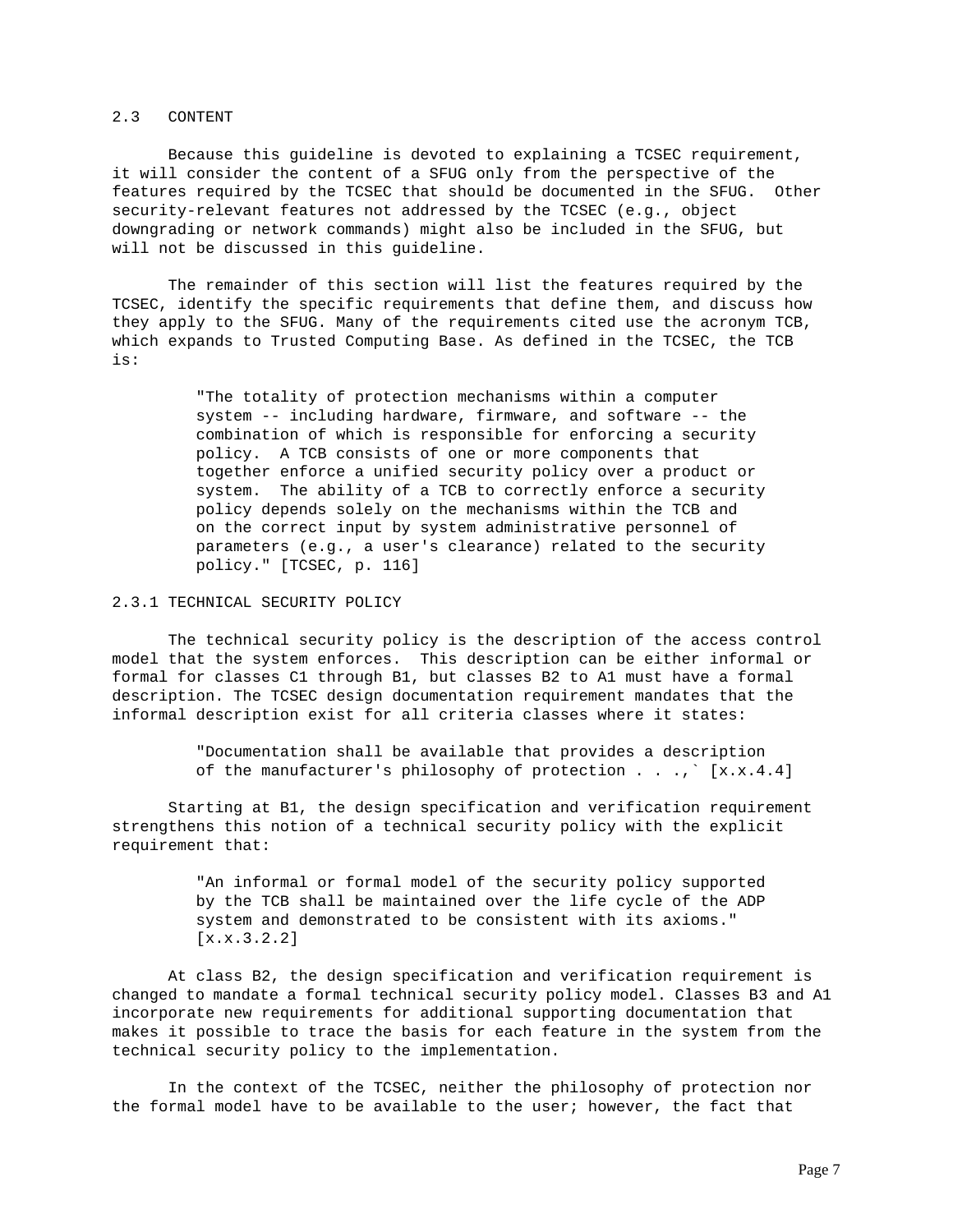## 2.3 CONTENT

 Because this guideline is devoted to explaining a TCSEC requirement, it will consider the content of a SFUG only from the perspective of the features required by the TCSEC that should be documented in the SFUG. Other security-relevant features not addressed by the TCSEC (e.g., object downgrading or network commands) might also be included in the SFUG, but will not be discussed in this guideline.

 The remainder of this section will list the features required by the TCSEC, identify the specific requirements that define them, and discuss how they apply to the SFUG. Many of the requirements cited use the acronym TCB, which expands to Trusted Computing Base. As defined in the TCSEC, the TCB is:

> "The totality of protection mechanisms within a computer system -- including hardware, firmware, and software -- the combination of which is responsible for enforcing a security policy. A TCB consists of one or more components that together enforce a unified security policy over a product or system. The ability of a TCB to correctly enforce a security policy depends solely on the mechanisms within the TCB and on the correct input by system administrative personnel of parameters (e.g., a user's clearance) related to the security policy." [TCSEC, p. 116]

#### 2.3.1 TECHNICAL SECURITY POLICY

 The technical security policy is the description of the access control model that the system enforces. This description can be either informal or formal for classes C1 through B1, but classes B2 to A1 must have a formal description. The TCSEC design documentation requirement mandates that the informal description exist for all criteria classes where it states:

> "Documentation shall be available that provides a description of the manufacturer's philosophy of protection . . .,` [x.x.4.4]

 Starting at B1, the design specification and verification requirement strengthens this notion of a technical security policy with the explicit requirement that:

> "An informal or formal model of the security policy supported by the TCB shall be maintained over the life cycle of the ADP system and demonstrated to be consistent with its axioms." [x.x.3.2.2]

 At class B2, the design specification and verification requirement is changed to mandate a formal technical security policy model. Classes B3 and A1 incorporate new requirements for additional supporting documentation that makes it possible to trace the basis for each feature in the system from the technical security policy to the implementation.

 In the context of the TCSEC, neither the philosophy of protection nor the formal model have to be available to the user; however, the fact that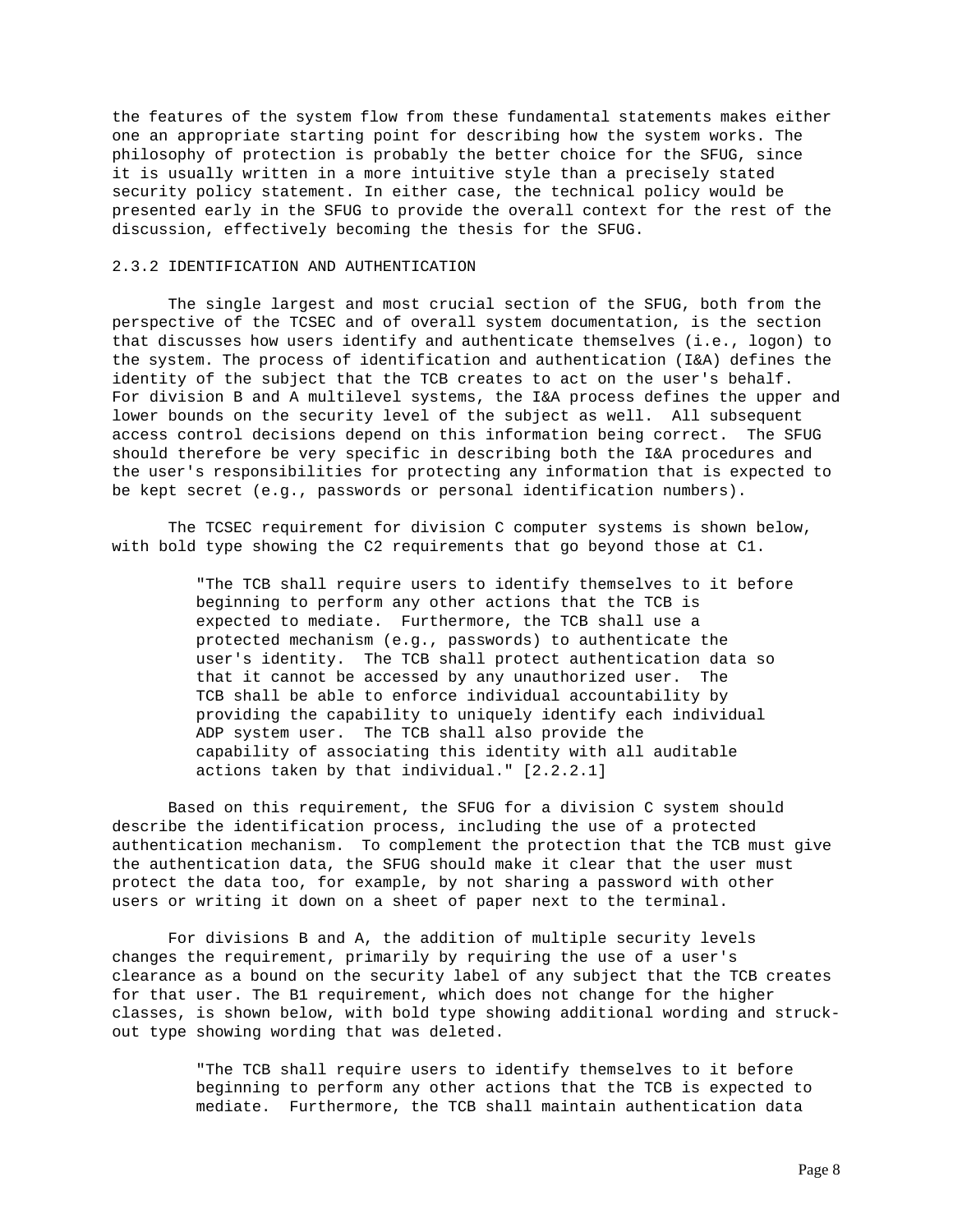the features of the system flow from these fundamental statements makes either one an appropriate starting point for describing how the system works. The philosophy of protection is probably the better choice for the SFUG, since it is usually written in a more intuitive style than a precisely stated security policy statement. In either case, the technical policy would be presented early in the SFUG to provide the overall context for the rest of the discussion, effectively becoming the thesis for the SFUG.

### 2.3.2 IDENTIFICATION AND AUTHENTICATION

 The single largest and most crucial section of the SFUG, both from the perspective of the TCSEC and of overall system documentation, is the section that discusses how users identify and authenticate themselves (i.e., logon) to the system. The process of identification and authentication (I&A) defines the identity of the subject that the TCB creates to act on the user's behalf. For division B and A multilevel systems, the I&A process defines the upper and lower bounds on the security level of the subject as well. All subsequent access control decisions depend on this information being correct. The SFUG should therefore be very specific in describing both the I&A procedures and the user's responsibilities for protecting any information that is expected to be kept secret (e.g., passwords or personal identification numbers).

 The TCSEC requirement for division C computer systems is shown below, with bold type showing the C2 requirements that go beyond those at C1.

> "The TCB shall require users to identify themselves to it before beginning to perform any other actions that the TCB is expected to mediate. Furthermore, the TCB shall use a protected mechanism (e.g., passwords) to authenticate the user's identity. The TCB shall protect authentication data so that it cannot be accessed by any unauthorized user. The TCB shall be able to enforce individual accountability by providing the capability to uniquely identify each individual ADP system user. The TCB shall also provide the capability of associating this identity with all auditable actions taken by that individual." [2.2.2.1]

 Based on this requirement, the SFUG for a division C system should describe the identification process, including the use of a protected authentication mechanism. To complement the protection that the TCB must give the authentication data, the SFUG should make it clear that the user must protect the data too, for example, by not sharing a password with other users or writing it down on a sheet of paper next to the terminal.

 For divisions B and A, the addition of multiple security levels changes the requirement, primarily by requiring the use of a user's clearance as a bound on the security label of any subject that the TCB creates for that user. The B1 requirement, which does not change for the higher classes, is shown below, with bold type showing additional wording and struckout type showing wording that was deleted.

> "The TCB shall require users to identify themselves to it before beginning to perform any other actions that the TCB is expected to mediate. Furthermore, the TCB shall maintain authentication data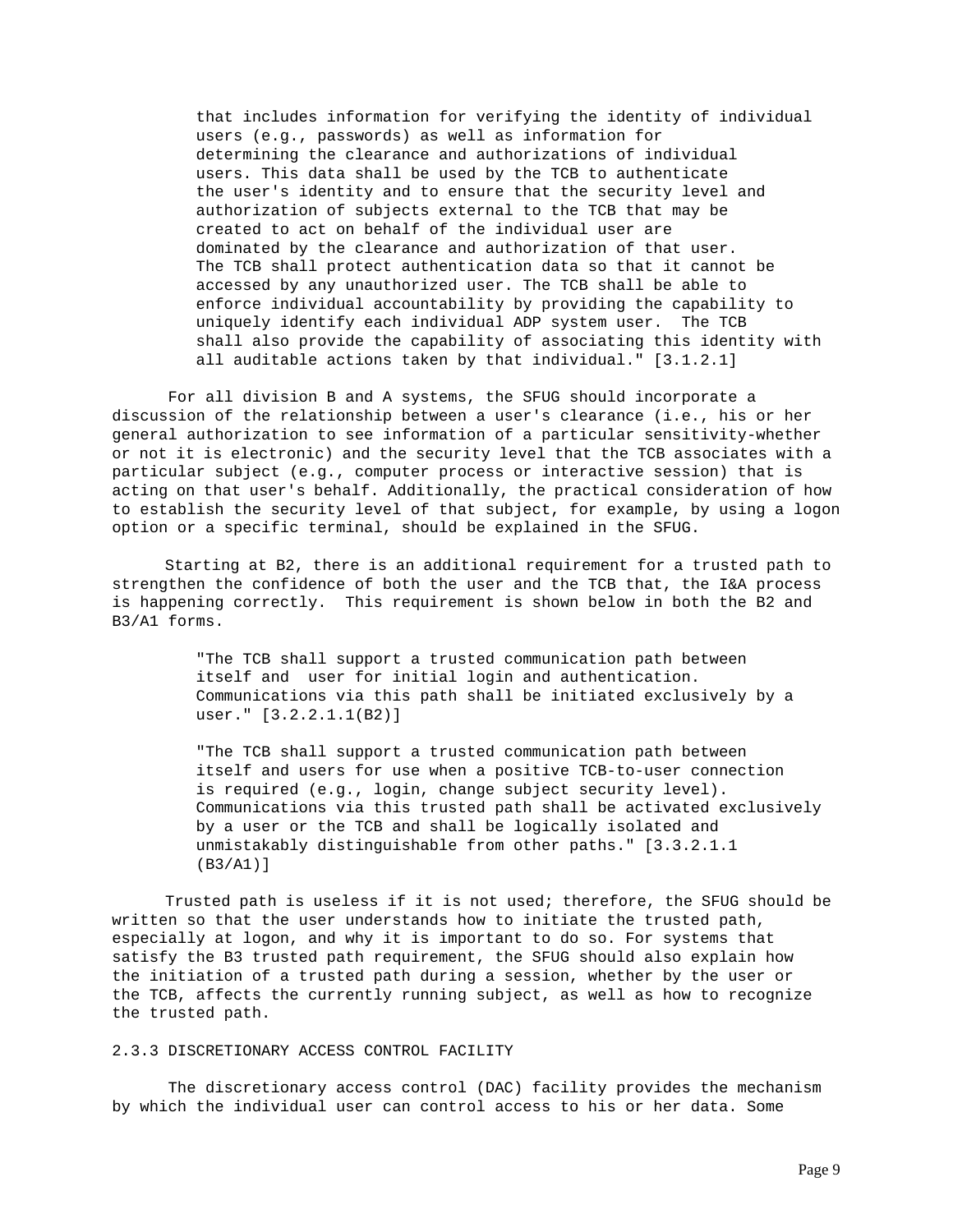that includes information for verifying the identity of individual users (e.g., passwords) as well as information for determining the clearance and authorizations of individual users. This data shall be used by the TCB to authenticate the user's identity and to ensure that the security level and authorization of subjects external to the TCB that may be created to act on behalf of the individual user are dominated by the clearance and authorization of that user. The TCB shall protect authentication data so that it cannot be accessed by any unauthorized user. The TCB shall be able to enforce individual accountability by providing the capability to uniquely identify each individual ADP system user. The TCB shall also provide the capability of associating this identity with all auditable actions taken by that individual." [3.1.2.1]

 For all division B and A systems, the SFUG should incorporate a discussion of the relationship between a user's clearance (i.e., his or her general authorization to see information of a particular sensitivity-whether or not it is electronic) and the security level that the TCB associates with a particular subject (e.g., computer process or interactive session) that is acting on that user's behalf. Additionally, the practical consideration of how to establish the security level of that subject, for example, by using a logon option or a specific terminal, should be explained in the SFUG.

 Starting at B2, there is an additional requirement for a trusted path to strengthen the confidence of both the user and the TCB that, the I&A process is happening correctly. This requirement is shown below in both the B2 and B3/A1 forms.

> "The TCB shall support a trusted communication path between itself and user for initial login and authentication. Communications via this path shall be initiated exclusively by a user." [3.2.2.1.1(B2)]

"The TCB shall support a trusted communication path between itself and users for use when a positive TCB-to-user connection is required (e.g., login, change subject security level). Communications via this trusted path shall be activated exclusively by a user or the TCB and shall be logically isolated and unmistakably distinguishable from other paths." [3.3.2.1.1 (B3/A1)]

 Trusted path is useless if it is not used; therefore, the SFUG should be written so that the user understands how to initiate the trusted path, especially at logon, and why it is important to do so. For systems that satisfy the B3 trusted path requirement, the SFUG should also explain how the initiation of a trusted path during a session, whether by the user or the TCB, affects the currently running subject, as well as how to recognize the trusted path.

### 2.3.3 DISCRETIONARY ACCESS CONTROL FACILITY

 The discretionary access control (DAC) facility provides the mechanism by which the individual user can control access to his or her data. Some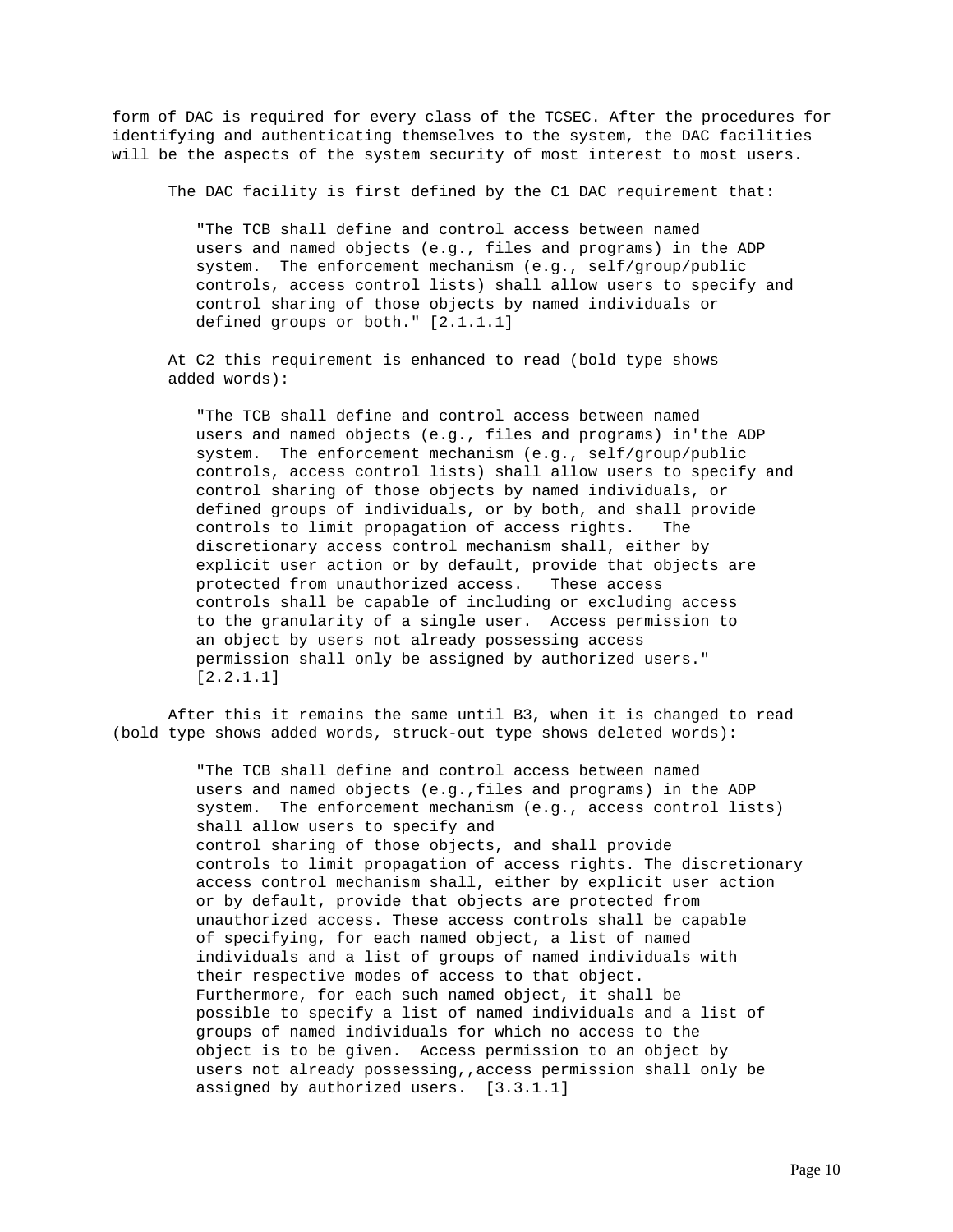form of DAC is required for every class of the TCSEC. After the procedures for identifying and authenticating themselves to the system, the DAC facilities will be the aspects of the system security of most interest to most users.

The DAC facility is first defined by the C1 DAC requirement that:

"The TCB shall define and control access between named users and named objects (e.g., files and programs) in the ADP system. The enforcement mechanism (e.g., self/group/public controls, access control lists) shall allow users to specify and control sharing of those objects by named individuals or defined groups or both." [2.1.1.1]

 At C2 this requirement is enhanced to read (bold type shows added words):

"The TCB shall define and control access between named users and named objects (e.g., files and programs) in'the ADP system. The enforcement mechanism (e.g., self/group/public controls, access control lists) shall allow users to specify and control sharing of those objects by named individuals, or defined groups of individuals, or by both, and shall provide controls to limit propagation of access rights. The discretionary access control mechanism shall, either by explicit user action or by default, provide that objects are protected from unauthorized access. These access controls shall be capable of including or excluding access to the granularity of a single user. Access permission to an object by users not already possessing access permission shall only be assigned by authorized users." [2.2.1.1]

 After this it remains the same until B3, when it is changed to read (bold type shows added words, struck-out type shows deleted words):

> "The TCB shall define and control access between named users and named objects (e.g.,files and programs) in the ADP system. The enforcement mechanism (e.g., access control lists) shall allow users to specify and control sharing of those objects, and shall provide controls to limit propagation of access rights. The discretionary access control mechanism shall, either by explicit user action or by default, provide that objects are protected from unauthorized access. These access controls shall be capable of specifying, for each named object, a list of named individuals and a list of groups of named individuals with their respective modes of access to that object. Furthermore, for each such named object, it shall be possible to specify a list of named individuals and a list of groups of named individuals for which no access to the object is to be given. Access permission to an object by users not already possessing,,access permission shall only be assigned by authorized users. [3.3.1.1]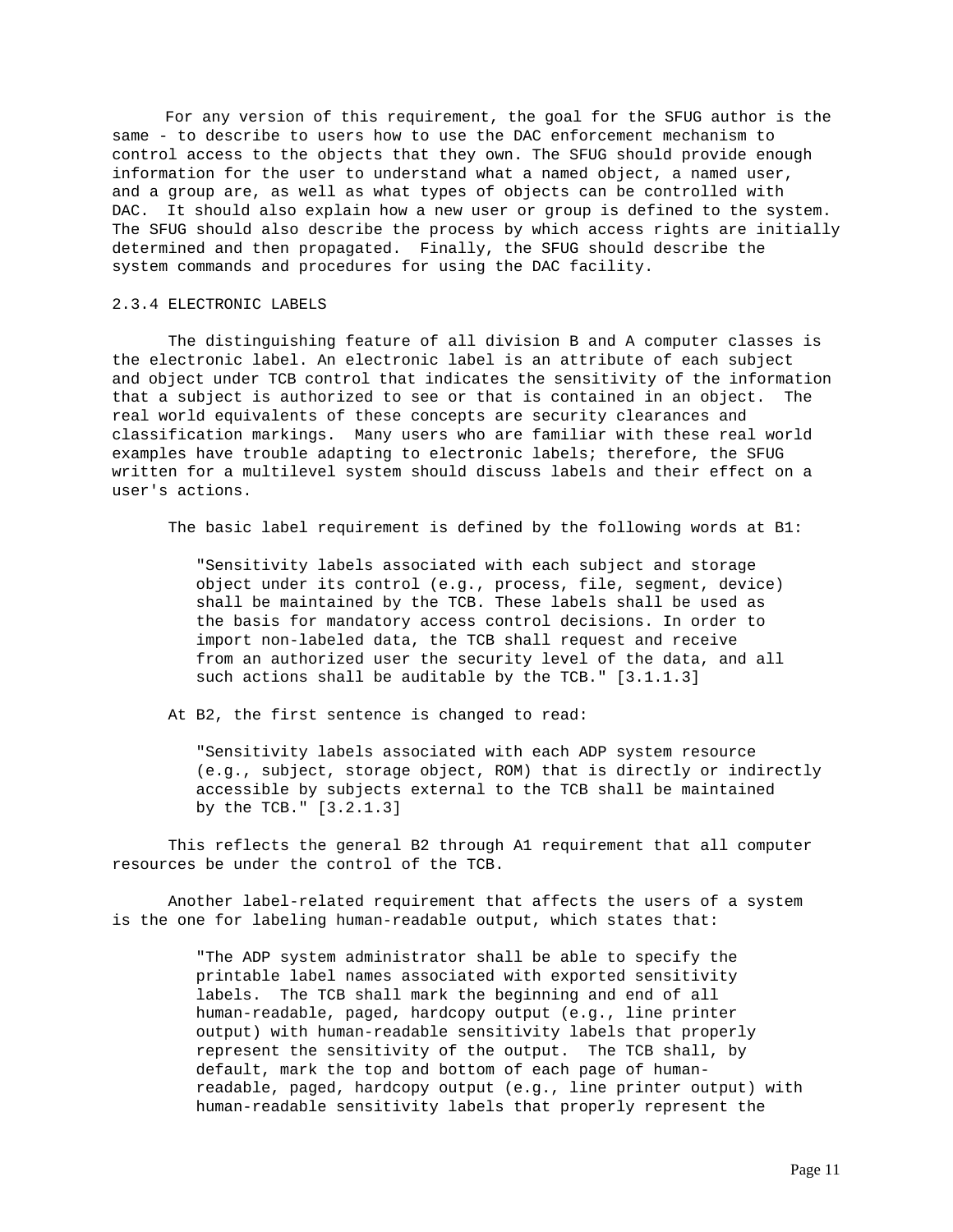For any version of this requirement, the goal for the SFUG author is the same - to describe to users how to use the DAC enforcement mechanism to control access to the objects that they own. The SFUG should provide enough information for the user to understand what a named object, a named user, and a group are, as well as what types of objects can be controlled with DAC. It should also explain how a new user or group is defined to the system. The SFUG should also describe the process by which access rights are initially determined and then propagated. Finally, the SFUG should describe the system commands and procedures for using the DAC facility.

### 2.3.4 ELECTRONIC LABELS

 The distinguishing feature of all division B and A computer classes is the electronic label. An electronic label is an attribute of each subject and object under TCB control that indicates the sensitivity of the information that a subject is authorized to see or that is contained in an object. The real world equivalents of these concepts are security clearances and classification markings. Many users who are familiar with these real world examples have trouble adapting to electronic labels; therefore, the SFUG written for a multilevel system should discuss labels and their effect on a user's actions.

The basic label requirement is defined by the following words at B1:

 "Sensitivity labels associated with each subject and storage object under its control (e.g., process, file, segment, device) shall be maintained by the TCB. These labels shall be used as the basis for mandatory access control decisions. In order to import non-labeled data, the TCB shall request and receive from an authorized user the security level of the data, and all such actions shall be auditable by the TCB." [3.1.1.3]

At B2, the first sentence is changed to read:

 "Sensitivity labels associated with each ADP system resource (e.g., subject, storage object, ROM) that is directly or indirectly accessible by subjects external to the TCB shall be maintained by the TCB." [3.2.1.3]

 This reflects the general B2 through A1 requirement that all computer resources be under the control of the TCB.

 Another label-related requirement that affects the users of a system is the one for labeling human-readable output, which states that:

> "The ADP system administrator shall be able to specify the printable label names associated with exported sensitivity labels. The TCB shall mark the beginning and end of all human-readable, paged, hardcopy output (e.g., line printer output) with human-readable sensitivity labels that properly represent the sensitivity of the output. The TCB shall, by default, mark the top and bottom of each page of human readable, paged, hardcopy output (e.g., line printer output) with human-readable sensitivity labels that properly represent the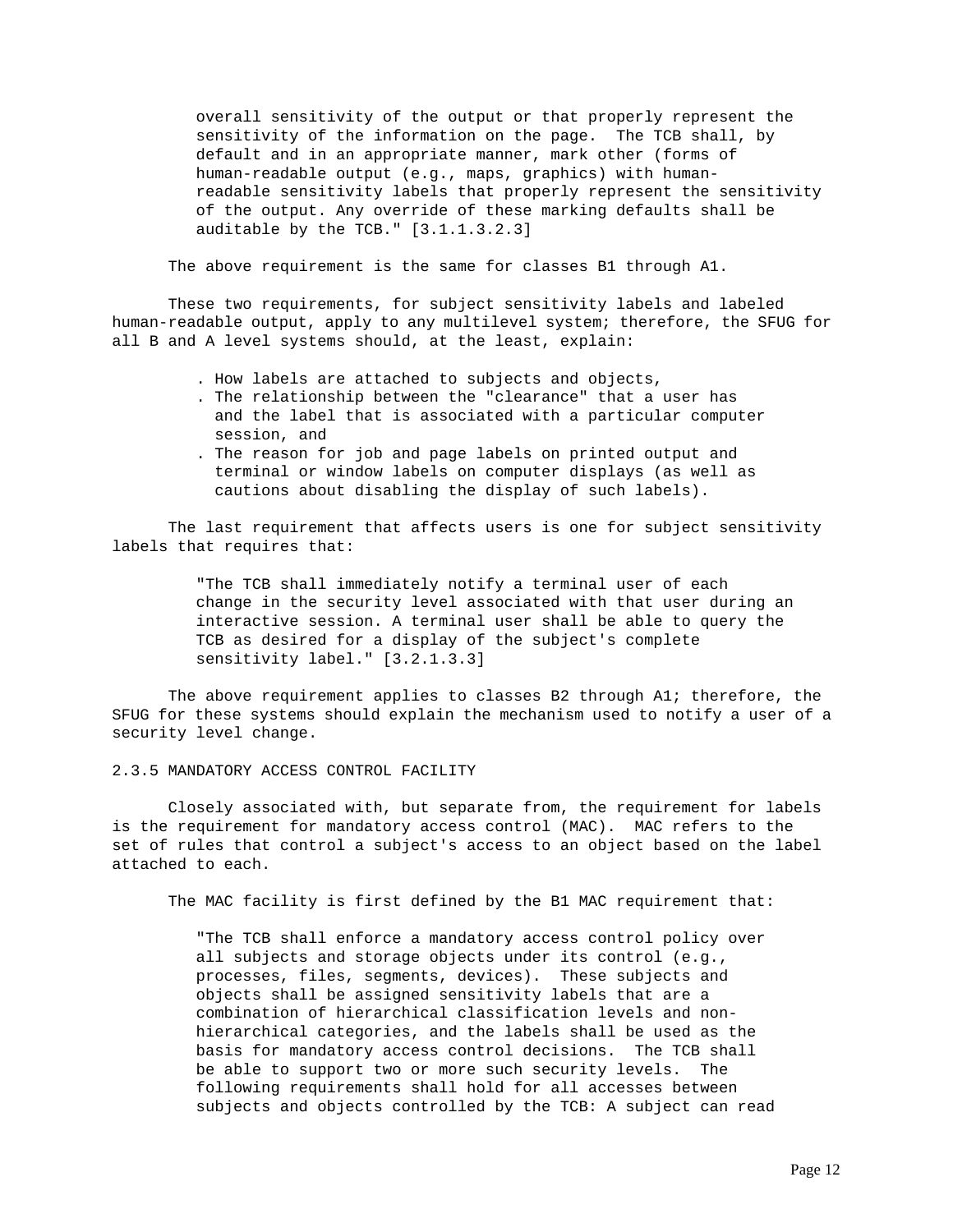overall sensitivity of the output or that properly represent the sensitivity of the information on the page. The TCB shall, by default and in an appropriate manner, mark other (forms of human-readable output (e.g., maps, graphics) with human readable sensitivity labels that properly represent the sensitivity of the output. Any override of these marking defaults shall be auditable by the TCB." [3.1.1.3.2.3]

The above requirement is the same for classes B1 through A1.

 These two requirements, for subject sensitivity labels and labeled human-readable output, apply to any multilevel system; therefore, the SFUG for all B and A level systems should, at the least, explain:

- . How labels are attached to subjects and objects,
- . The relationship between the "clearance" that a user has and the label that is associated with a particular computer session, and
- . The reason for job and page labels on printed output and terminal or window labels on computer displays (as well as cautions about disabling the display of such labels).

 The last requirement that affects users is one for subject sensitivity labels that requires that:

> "The TCB shall immediately notify a terminal user of each change in the security level associated with that user during an interactive session. A terminal user shall be able to query the TCB as desired for a display of the subject's complete sensitivity label." [3.2.1.3.3]

 The above requirement applies to classes B2 through A1; therefore, the SFUG for these systems should explain the mechanism used to notify a user of a security level change.

2.3.5 MANDATORY ACCESS CONTROL FACILITY

 Closely associated with, but separate from, the requirement for labels is the requirement for mandatory access control (MAC). MAC refers to the set of rules that control a subject's access to an object based on the label attached to each.

The MAC facility is first defined by the B1 MAC requirement that:

 "The TCB shall enforce a mandatory access control policy over all subjects and storage objects under its control (e.g., processes, files, segments, devices). These subjects and objects shall be assigned sensitivity labels that are a combination of hierarchical classification levels and non hierarchical categories, and the labels shall be used as the basis for mandatory access control decisions. The TCB shall be able to support two or more such security levels. The following requirements shall hold for all accesses between subjects and objects controlled by the TCB: A subject can read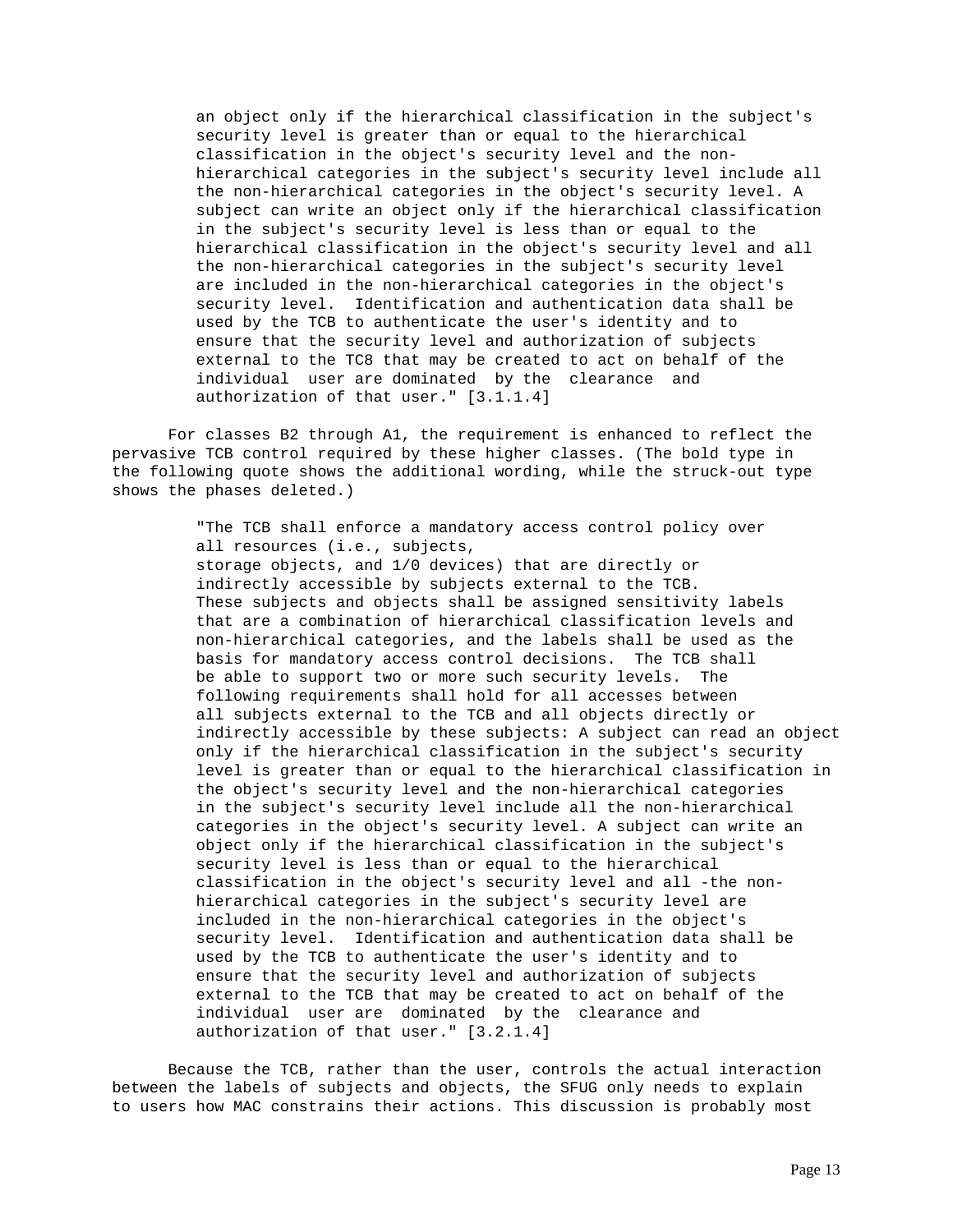an object only if the hierarchical classification in the subject's security level is greater than or equal to the hierarchical classification in the object's security level and the non hierarchical categories in the subject's security level include all the non-hierarchical categories in the object's security level. A subject can write an object only if the hierarchical classification in the subject's security level is less than or equal to the hierarchical classification in the object's security level and all the non-hierarchical categories in the subject's security level are included in the non-hierarchical categories in the object's security level. Identification and authentication data shall be used by the TCB to authenticate the user's identity and to ensure that the security level and authorization of subjects external to the TC8 that may be created to act on behalf of the individual user are dominated by the clearance and authorization of that user." [3.1.1.4]

 For classes B2 through A1, the requirement is enhanced to reflect the pervasive TCB control required by these higher classes. (The bold type in the following quote shows the additional wording, while the struck-out type shows the phases deleted.)

> "The TCB shall enforce a mandatory access control policy over all resources (i.e., subjects, storage objects, and 1/0 devices) that are directly or indirectly accessible by subjects external to the TCB. These subjects and objects shall be assigned sensitivity labels that are a combination of hierarchical classification levels and non-hierarchical categories, and the labels shall be used as the basis for mandatory access control decisions. The TCB shall be able to support two or more such security levels. The following requirements shall hold for all accesses between all subjects external to the TCB and all objects directly or indirectly accessible by these subjects: A subject can read an object only if the hierarchical classification in the subject's security level is greater than or equal to the hierarchical classification in the object's security level and the non-hierarchical categories in the subject's security level include all the non-hierarchical categories in the object's security level. A subject can write an object only if the hierarchical classification in the subject's security level is less than or equal to the hierarchical classification in the object's security level and all -the non hierarchical categories in the subject's security level are included in the non-hierarchical categories in the object's security level. Identification and authentication data shall be used by the TCB to authenticate the user's identity and to ensure that the security level and authorization of subjects external to the TCB that may be created to act on behalf of the individual user are dominated by the clearance and authorization of that user." [3.2.1.4]

 Because the TCB, rather than the user, controls the actual interaction between the labels of subjects and objects, the SFUG only needs to explain to users how MAC constrains their actions. This discussion is probably most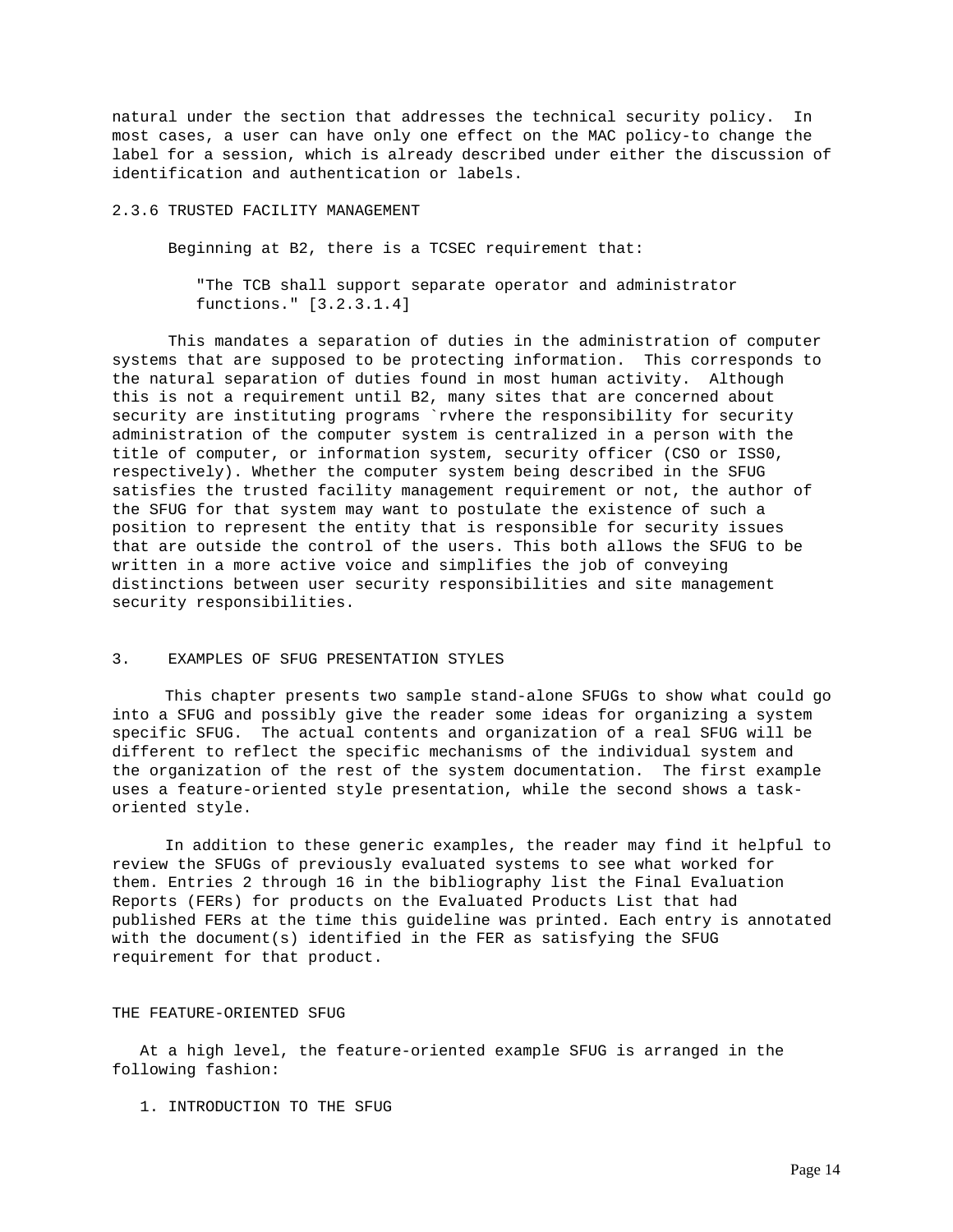natural under the section that addresses the technical security policy. In most cases, a user can have only one effect on the MAC policy-to change the label for a session, which is already described under either the discussion of identification and authentication or labels.

# 2.3.6 TRUSTED FACILITY MANAGEMENT

Beginning at B2, there is a TCSEC requirement that:

 "The TCB shall support separate operator and administrator functions." [3.2.3.1.4]

 This mandates a separation of duties in the administration of computer systems that are supposed to be protecting information. This corresponds to the natural separation of duties found in most human activity. Although this is not a requirement until B2, many sites that are concerned about security are instituting programs `rvhere the responsibility for security administration of the computer system is centralized in a person with the title of computer, or information system, security officer (CSO or ISS0, respectively). Whether the computer system being described in the SFUG satisfies the trusted facility management requirement or not, the author of the SFUG for that system may want to postulate the existence of such a position to represent the entity that is responsible for security issues that are outside the control of the users. This both allows the SFUG to be written in a more active voice and simplifies the job of conveying distinctions between user security responsibilities and site management security responsibilities.

#### 3. EXAMPLES OF SFUG PRESENTATION STYLES

 This chapter presents two sample stand-alone SFUGs to show what could go into a SFUG and possibly give the reader some ideas for organizing a system specific SFUG. The actual contents and organization of a real SFUG will be different to reflect the specific mechanisms of the individual system and the organization of the rest of the system documentation. The first example uses a feature-oriented style presentation, while the second shows a taskoriented style.

 In addition to these generic examples, the reader may find it helpful to review the SFUGs of previously evaluated systems to see what worked for them. Entries 2 through 16 in the bibliography list the Final Evaluation Reports (FERs) for products on the Evaluated Products List that had published FERs at the time this guideline was printed. Each entry is annotated with the document(s) identified in the FER as satisfying the SFUG requirement for that product.

#### THE FEATURE-ORIENTED SFUG

 At a high level, the feature-oriented example SFUG is arranged in the following fashion:

1. INTRODUCTION TO THE SFUG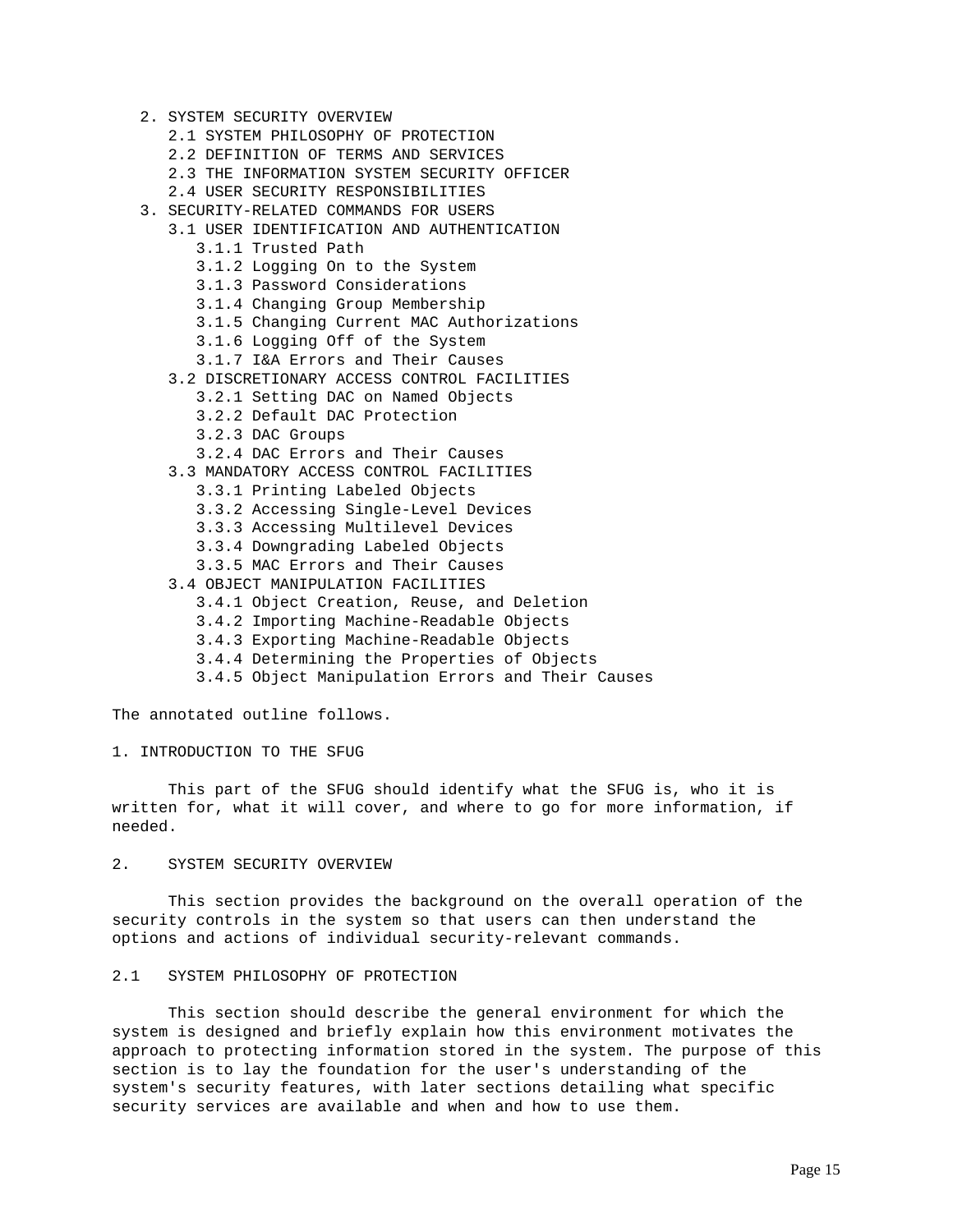- 2. SYSTEM SECURITY OVERVIEW
	- 2.1 SYSTEM PHILOSOPHY OF PROTECTION
	- 2.2 DEFINITION OF TERMS AND SERVICES
	- 2.3 THE INFORMATION SYSTEM SECURITY OFFICER
	- 2.4 USER SECURITY RESPONSIBILITIES
- 3. SECURITY-RELATED COMMANDS FOR USERS
	- 3.1 USER IDENTIFICATION AND AUTHENTICATION
		- 3.1.1 Trusted Path
		- 3.1.2 Logging On to the System
		- 3.1.3 Password Considerations
		- 3.1.4 Changing Group Membership
		- 3.1.5 Changing Current MAC Authorizations
		- 3.1.6 Logging Off of the System
		- 3.1.7 I&A Errors and Their Causes
	- 3.2 DISCRETIONARY ACCESS CONTROL FACILITIES
		- 3.2.1 Setting DAC on Named Objects
		- 3.2.2 Default DAC Protection
		- 3.2.3 DAC Groups
		- 3.2.4 DAC Errors and Their Causes
	- 3.3 MANDATORY ACCESS CONTROL FACILITIES
		- 3.3.1 Printing Labeled Objects
		- 3.3.2 Accessing Single-Level Devices
		- 3.3.3 Accessing Multilevel Devices
		- 3.3.4 Downgrading Labeled Objects
		- 3.3.5 MAC Errors and Their Causes
	- 3.4 OBJECT MANIPULATION FACILITIES
		- 3.4.1 Object Creation, Reuse, and Deletion
		- 3.4.2 Importing Machine-Readable Objects
		- 3.4.3 Exporting Machine-Readable Objects
		- 3.4.4 Determining the Properties of Objects
		- 3.4.5 Object Manipulation Errors and Their Causes

The annotated outline follows.

#### 1. INTRODUCTION TO THE SFUG

 This part of the SFUG should identify what the SFUG is, who it is written for, what it will cover, and where to go for more information, if needed.

# 2. SYSTEM SECURITY OVERVIEW

 This section provides the background on the overall operation of the security controls in the system so that users can then understand the options and actions of individual security-relevant commands.

## 2.1 SYSTEM PHILOSOPHY OF PROTECTION

 This section should describe the general environment for which the system is designed and briefly explain how this environment motivates the approach to protecting information stored in the system. The purpose of this section is to lay the foundation for the user's understanding of the system's security features, with later sections detailing what specific security services are available and when and how to use them.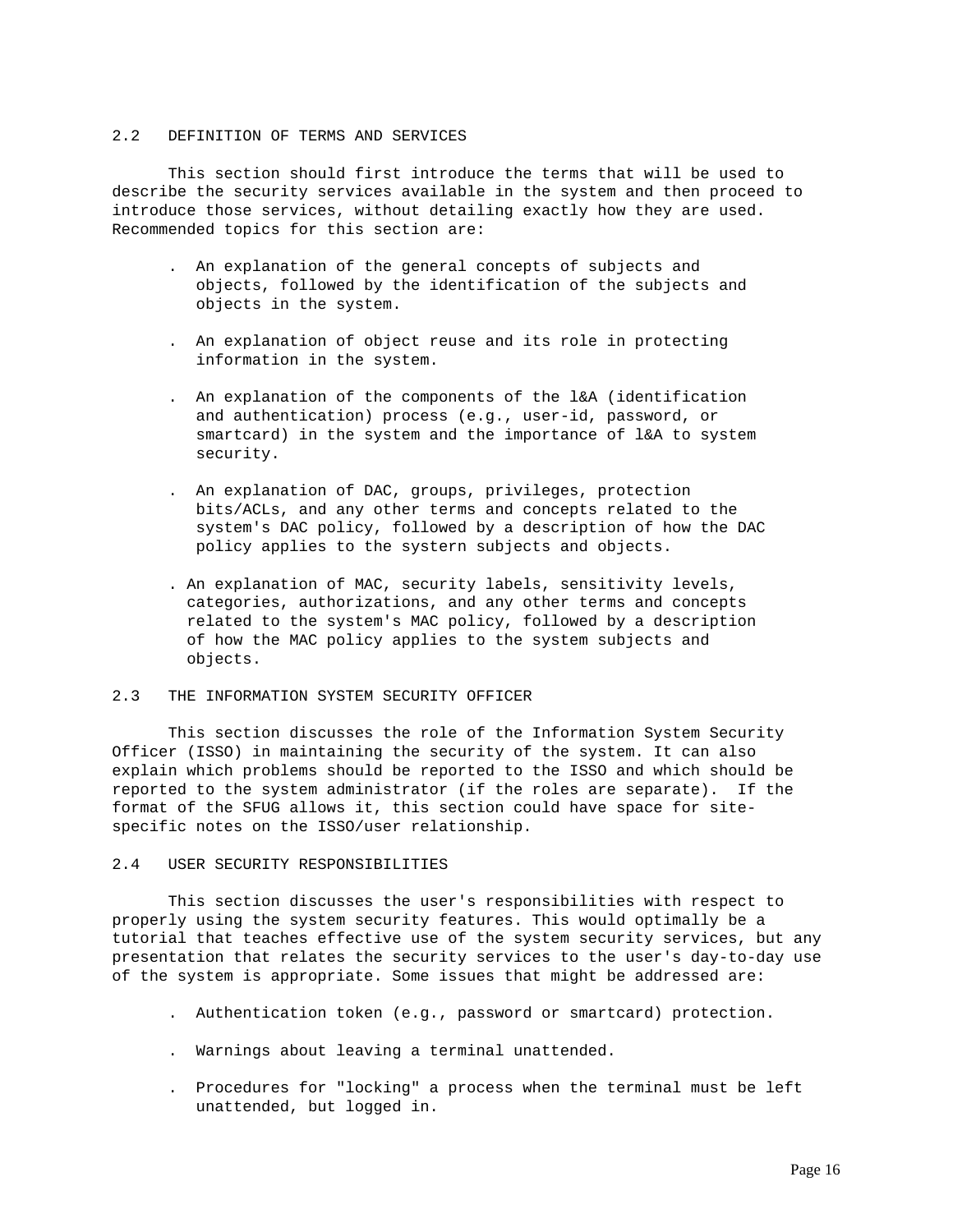#### 2.2 DEFINITION OF TERMS AND SERVICES

 This section should first introduce the terms that will be used to describe the security services available in the system and then proceed to introduce those services, without detailing exactly how they are used. Recommended topics for this section are:

- . An explanation of the general concepts of subjects and objects, followed by the identification of the subjects and objects in the system.
- . An explanation of object reuse and its role in protecting information in the system.
- . An explanation of the components of the l&A (identification and authentication) process (e.g., user-id, password, or smartcard) in the system and the importance of l&A to system security.
- . An explanation of DAC, groups, privileges, protection bits/ACLs, and any other terms and concepts related to the system's DAC policy, followed by a description of how the DAC policy applies to the systern subjects and objects.
- . An explanation of MAC, security labels, sensitivity levels, categories, authorizations, and any other terms and concepts related to the system's MAC policy, followed by a description of how the MAC policy applies to the system subjects and objects.

# 2.3 THE INFORMATION SYSTEM SECURITY OFFICER

 This section discusses the role of the Information System Security Officer (ISSO) in maintaining the security of the system. It can also explain which problems should be reported to the ISSO and which should be reported to the system administrator (if the roles are separate). If the format of the SFUG allows it, this section could have space for sitespecific notes on the ISSO/user relationship.

# 2.4 USER SECURITY RESPONSIBILITIES

 This section discusses the user's responsibilities with respect to properly using the system security features. This would optimally be a tutorial that teaches effective use of the system security services, but any presentation that relates the security services to the user's day-to-day use of the system is appropriate. Some issues that might be addressed are:

- . Authentication token (e.g., password or smartcard) protection.
- . Warnings about leaving a terminal unattended.
- . Procedures for "locking" a process when the terminal must be left unattended, but logged in.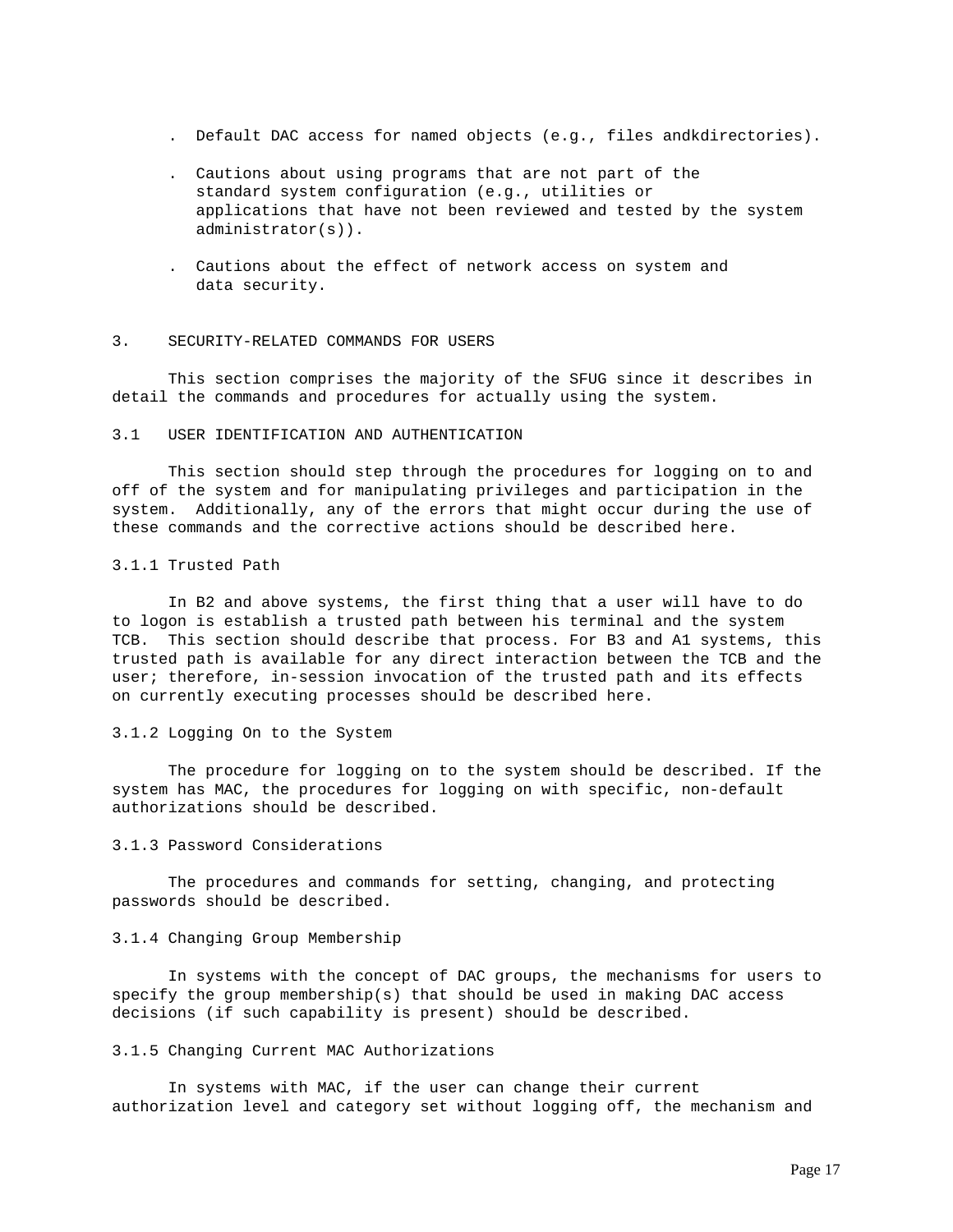- . Default DAC access for named objects (e.g., files andkdirectories).
- . Cautions about using programs that are not part of the standard system configuration (e.g., utilities or applications that have not been reviewed and tested by the system administrator(s)).
- . Cautions about the effect of network access on system and data security.

#### 3. SECURITY-RELATED COMMANDS FOR USERS

 This section comprises the majority of the SFUG since it describes in detail the commands and procedures for actually using the system.

#### 3.1 USER IDENTIFICATION AND AUTHENTICATION

 This section should step through the procedures for logging on to and off of the system and for manipulating privileges and participation in the system. Additionally, any of the errors that might occur during the use of these commands and the corrective actions should be described here.

## 3.1.1 Trusted Path

 In B2 and above systems, the first thing that a user will have to do to logon is establish a trusted path between his terminal and the system TCB. This section should describe that process. For B3 and A1 systems, this trusted path is available for any direct interaction between the TCB and the user; therefore, in-session invocation of the trusted path and its effects on currently executing processes should be described here.

## 3.1.2 Logging On to the System

 The procedure for logging on to the system should be described. If the system has MAC, the procedures for logging on with specific, non-default authorizations should be described.

## 3.1.3 Password Considerations

 The procedures and commands for setting, changing, and protecting passwords should be described.

## 3.1.4 Changing Group Membership

 In systems with the concept of DAC groups, the mechanisms for users to specify the group membership(s) that should be used in making DAC access decisions (if such capability is present) should be described.

#### 3.1.5 Changing Current MAC Authorizations

 In systems with MAC, if the user can change their current authorization level and category set without logging off, the mechanism and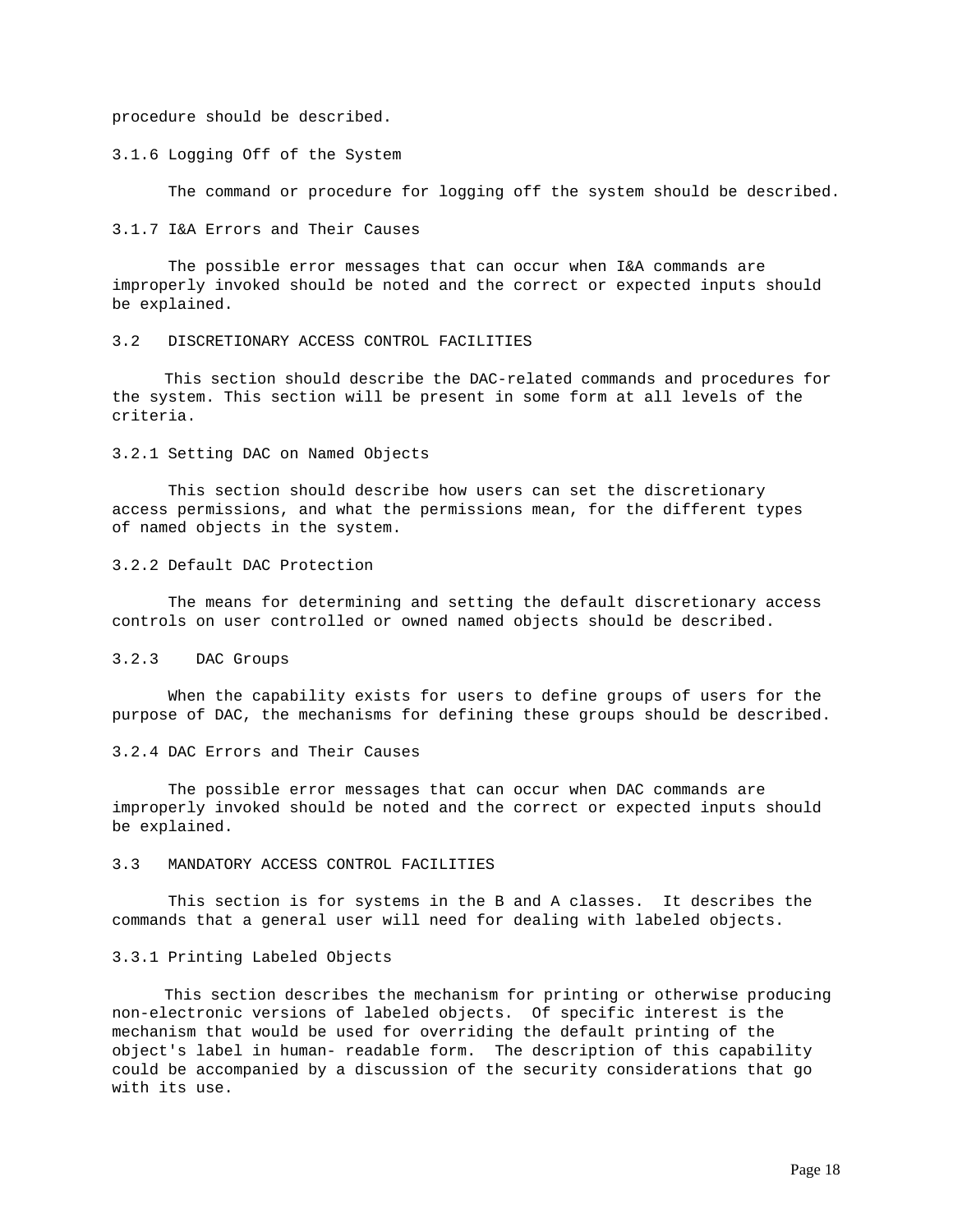procedure should be described.

### 3.1.6 Logging Off of the System

The command or procedure for logging off the system should be described.

#### 3.1.7 I&A Errors and Their Causes

 The possible error messages that can occur when I&A commands are improperly invoked should be noted and the correct or expected inputs should be explained.

# 3.2 DISCRETIONARY ACCESS CONTROL FACILITIES

 This section should describe the DAC-related commands and procedures for the system. This section will be present in some form at all levels of the criteria.

## 3.2.1 Setting DAC on Named Objects

 This section should describe how users can set the discretionary access permissions, and what the permissions mean, for the different types of named objects in the system.

## 3.2.2 Default DAC Protection

 The means for determining and setting the default discretionary access controls on user controlled or owned named objects should be described.

# 3.2.3 DAC Groups

 When the capability exists for users to define groups of users for the purpose of DAC, the mechanisms for defining these groups should be described.

## 3.2.4 DAC Errors and Their Causes

 The possible error messages that can occur when DAC commands are improperly invoked should be noted and the correct or expected inputs should be explained.

# 3.3 MANDATORY ACCESS CONTROL FACILITIES

 This section is for systems in the B and A classes. It describes the commands that a general user will need for dealing with labeled objects.

# 3.3.1 Printing Labeled Objects

 This section describes the mechanism for printing or otherwise producing non-electronic versions of labeled objects. Of specific interest is the mechanism that would be used for overriding the default printing of the object's label in human- readable form. The description of this capability could be accompanied by a discussion of the security considerations that go with its use.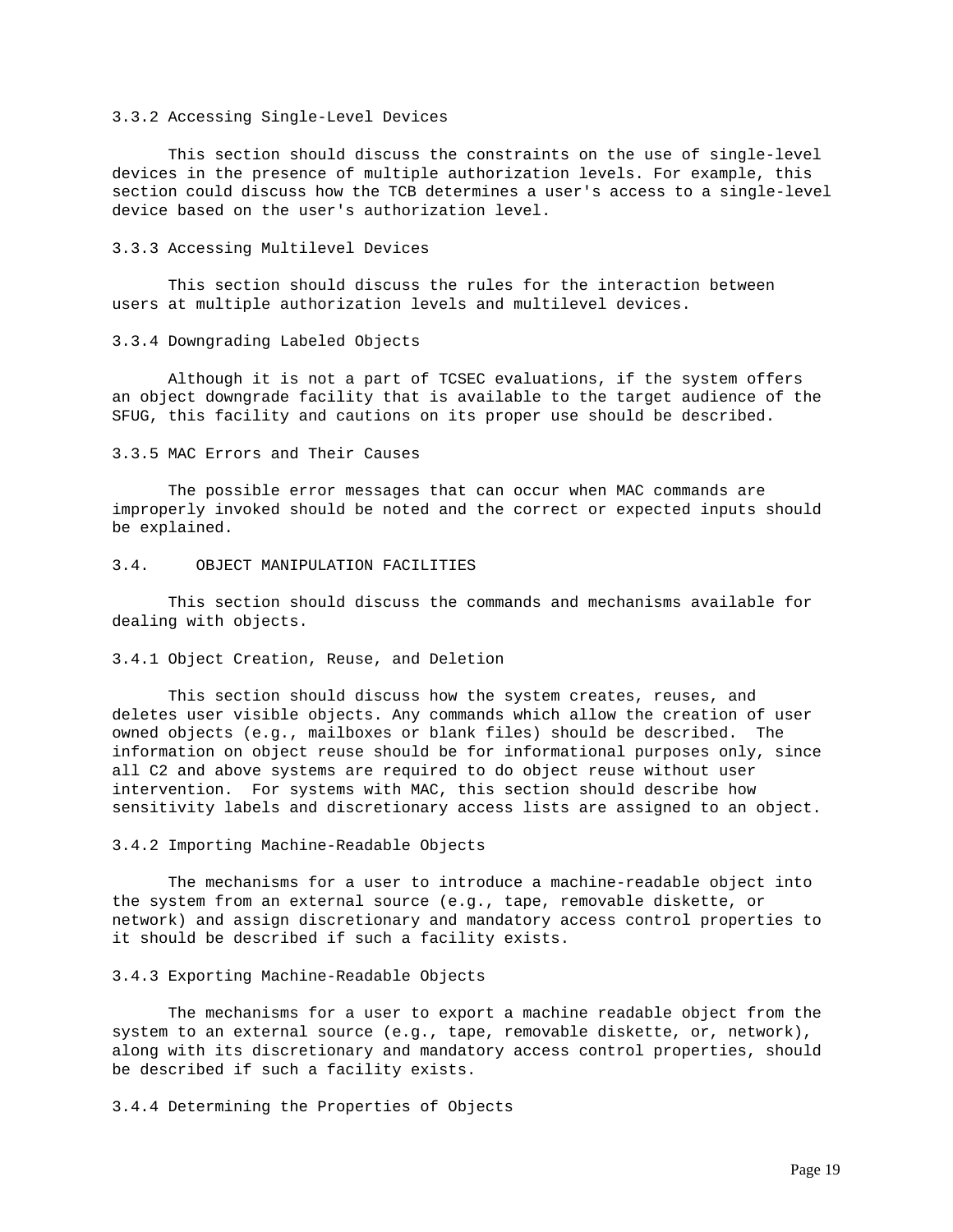# 3.3.2 Accessing Single-Level Devices

 This section should discuss the constraints on the use of single-level devices in the presence of multiple authorization levels. For example, this section could discuss how the TCB determines a user's access to a single-level device based on the user's authorization level.

### 3.3.3 Accessing Multilevel Devices

 This section should discuss the rules for the interaction between users at multiple authorization levels and multilevel devices.

#### 3.3.4 Downgrading Labeled Objects

 Although it is not a part of TCSEC evaluations, if the system offers an object downgrade facility that is available to the target audience of the SFUG, this facility and cautions on its proper use should be described.

## 3.3.5 MAC Errors and Their Causes

 The possible error messages that can occur when MAC commands are improperly invoked should be noted and the correct or expected inputs should be explained.

# 3.4. OBJECT MANIPULATION FACILITIES

 This section should discuss the commands and mechanisms available for dealing with objects.

#### 3.4.1 Object Creation, Reuse, and Deletion

 This section should discuss how the system creates, reuses, and deletes user visible objects. Any commands which allow the creation of user owned objects (e.g., mailboxes or blank files) should be described. The information on object reuse should be for informational purposes only, since all C2 and above systems are required to do object reuse without user intervention. For systems with MAC, this section should describe how sensitivity labels and discretionary access lists are assigned to an object.

#### 3.4.2 Importing Machine-Readable Objects

 The mechanisms for a user to introduce a machine-readable object into the system from an external source (e.g., tape, removable diskette, or network) and assign discretionary and mandatory access control properties to it should be described if such a facility exists.

#### 3.4.3 Exporting Machine-Readable Objects

 The mechanisms for a user to export a machine readable object from the system to an external source (e.g., tape, removable diskette, or, network), along with its discretionary and mandatory access control properties, should be described if such a facility exists.

3.4.4 Determining the Properties of Objects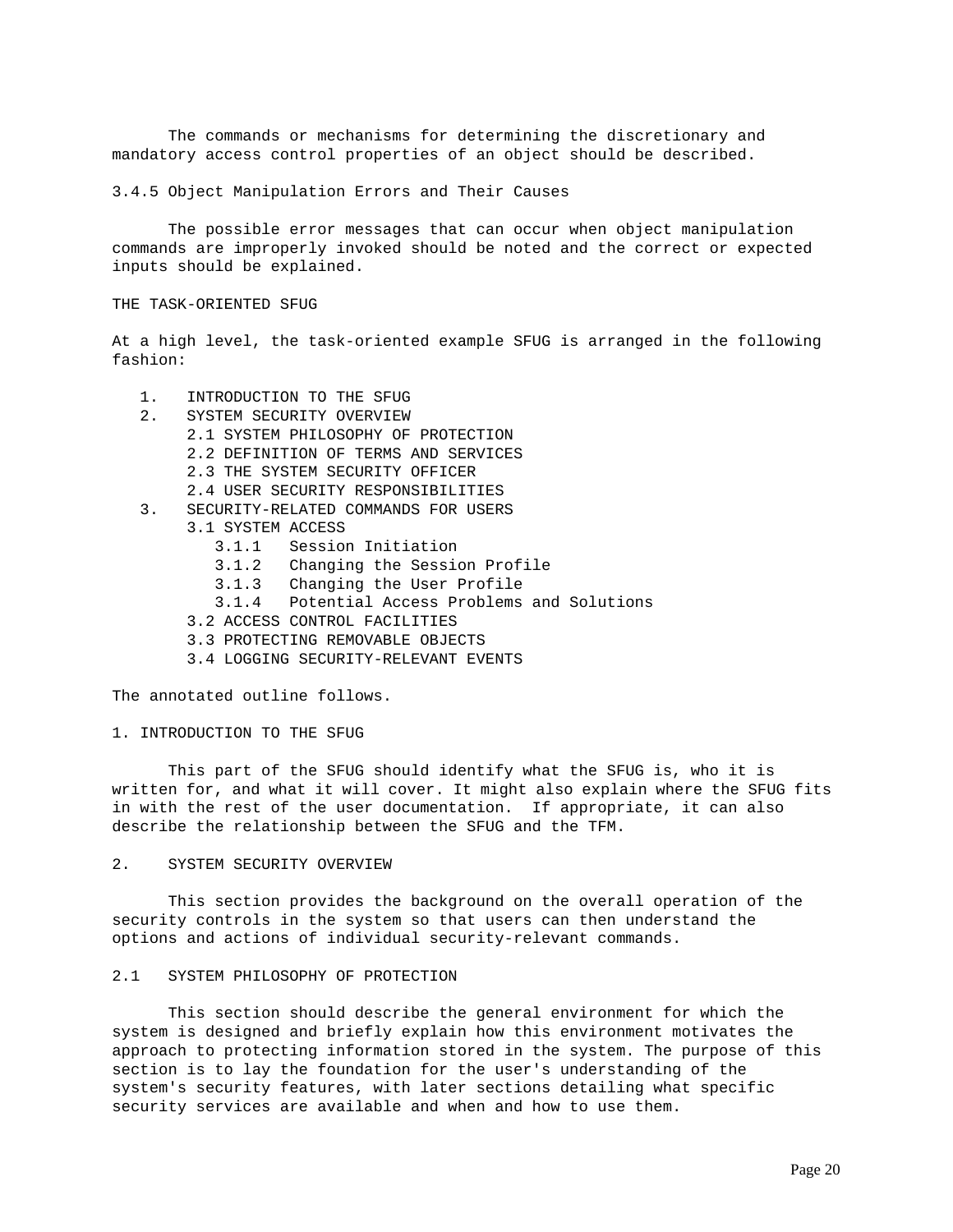The commands or mechanisms for determining the discretionary and mandatory access control properties of an object should be described.

3.4.5 Object Manipulation Errors and Their Causes

 The possible error messages that can occur when object manipulation commands are improperly invoked should be noted and the correct or expected inputs should be explained.

THE TASK-ORIENTED SFUG

At a high level, the task-oriented example SFUG is arranged in the following fashion:

- 1. INTRODUCTION TO THE SFUG 2. SYSTEM SECURITY OVERVIEW 2.1 SYSTEM PHILOSOPHY OF PROTECTION 2.2 DEFINITION OF TERMS AND SERVICES 2.3 THE SYSTEM SECURITY OFFICER 2.4 USER SECURITY RESPONSIBILITIES 3. SECURITY-RELATED COMMANDS FOR USERS 3.1 SYSTEM ACCESS 3.1.1 Session Initiation 3.1.2 Changing the Session Profile 3.1.3 Changing the User Profile 3.1.4 Potential Access Problems and Solutions 3.2 ACCESS CONTROL FACILITIES 3.3 PROTECTING REMOVABLE OBJECTS
	- 3.4 LOGGING SECURITY-RELEVANT EVENTS

The annotated outline follows.

1. INTRODUCTION TO THE SFUG

 This part of the SFUG should identify what the SFUG is, who it is written for, and what it will cover. It might also explain where the SFUG fits in with the rest of the user documentation. If appropriate, it can also describe the relationship between the SFUG and the TFM.

2. SYSTEM SECURITY OVERVIEW

 This section provides the background on the overall operation of the security controls in the system so that users can then understand the options and actions of individual security-relevant commands.

## 2.1 SYSTEM PHILOSOPHY OF PROTECTION

 This section should describe the general environment for which the system is designed and briefly explain how this environment motivates the approach to protecting information stored in the system. The purpose of this section is to lay the foundation for the user's understanding of the system's security features, with later sections detailing what specific security services are available and when and how to use them.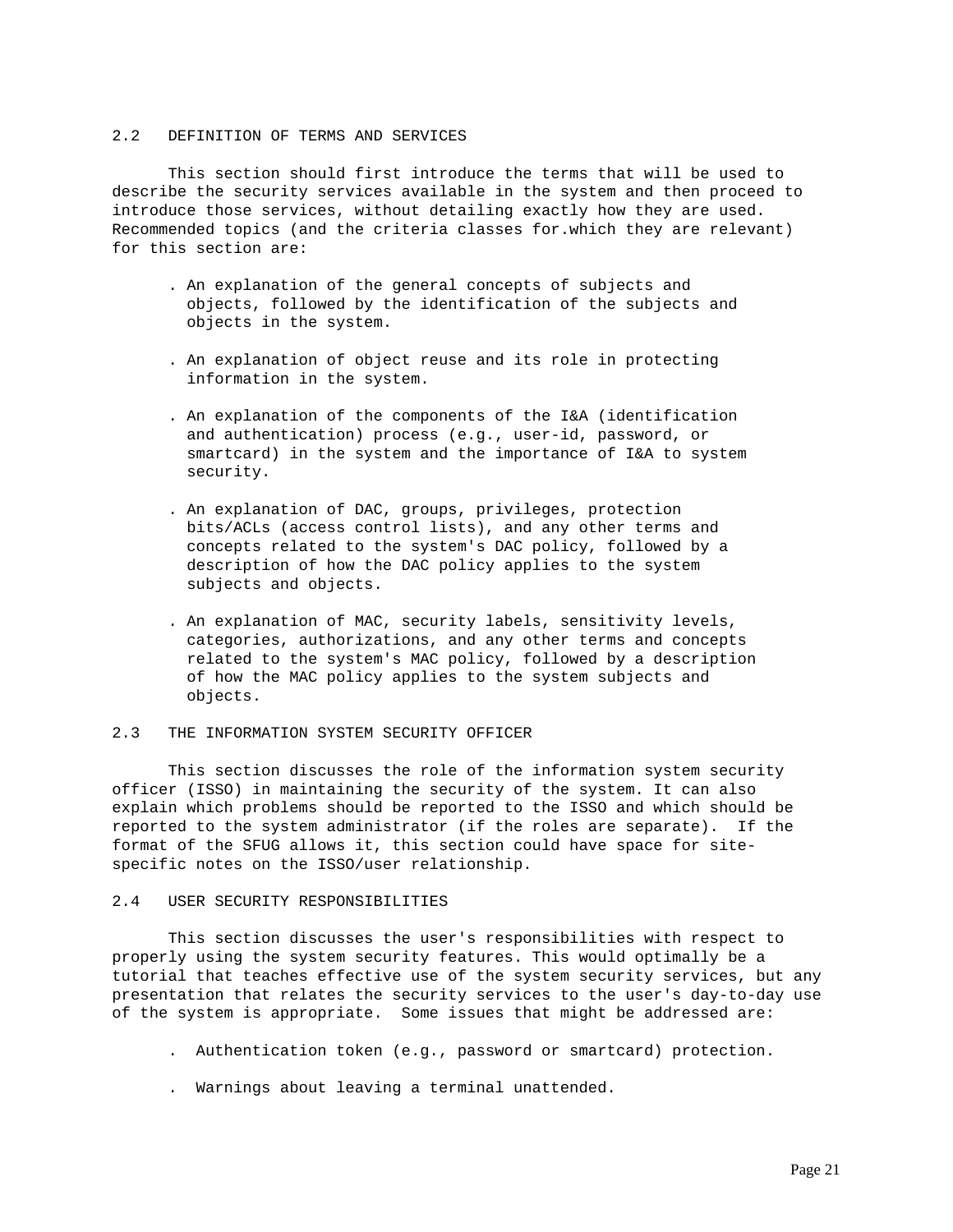#### 2.2 DEFINITION OF TERMS AND SERVICES

 This section should first introduce the terms that will be used to describe the security services available in the system and then proceed to introduce those services, without detailing exactly how they are used. Recommended topics (and the criteria classes for.which they are relevant) for this section are:

- . An explanation of the general concepts of subjects and objects, followed by the identification of the subjects and objects in the system.
- . An explanation of object reuse and its role in protecting information in the system.
- . An explanation of the components of the I&A (identification and authentication) process (e.g., user-id, password, or smartcard) in the system and the importance of I&A to system security.
- . An explanation of DAC, groups, privileges, protection bits/ACLs (access control lists), and any other terms and concepts related to the system's DAC policy, followed by a description of how the DAC policy applies to the system subjects and objects.
- . An explanation of MAC, security labels, sensitivity levels, categories, authorizations, and any other terms and concepts related to the system's MAC policy, followed by a description of how the MAC policy applies to the system subjects and objects.

#### 2.3 THE INFORMATION SYSTEM SECURITY OFFICER

 This section discusses the role of the information system security officer (ISSO) in maintaining the security of the system. It can also explain which problems should be reported to the ISSO and which should be reported to the system administrator (if the roles are separate). If the format of the SFUG allows it, this section could have space for sitespecific notes on the ISSO/user relationship.

# 2.4 USER SECURITY RESPONSIBILITIES

 This section discusses the user's responsibilities with respect to properly using the system security features. This would optimally be a tutorial that teaches effective use of the system security services, but any presentation that relates the security services to the user's day-to-day use of the system is appropriate. Some issues that might be addressed are:

- . Authentication token (e.g., password or smartcard) protection.
- . Warnings about leaving a terminal unattended.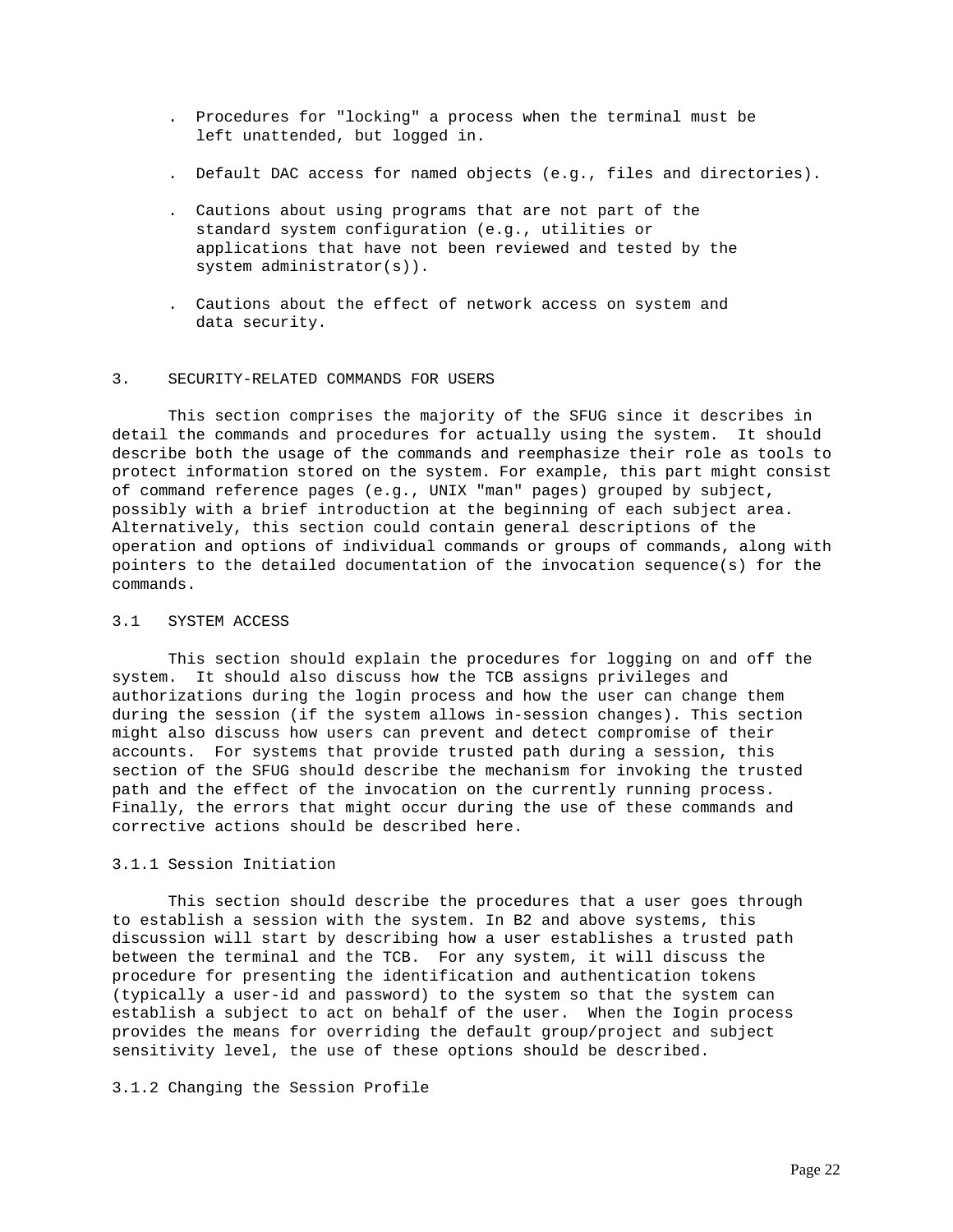- . Procedures for "locking" a process when the terminal must be left unattended, but logged in.
- . Default DAC access for named objects (e.g., files and directories).
- . Cautions about using programs that are not part of the standard system configuration (e.g., utilities or applications that have not been reviewed and tested by the system administrator(s)).
- . Cautions about the effect of network access on system and data security.

#### 3. SECURITY-RELATED COMMANDS FOR USERS

 This section comprises the majority of the SFUG since it describes in detail the commands and procedures for actually using the system. It should describe both the usage of the commands and reemphasize their role as tools to protect information stored on the system. For example, this part might consist of command reference pages (e.g., UNIX "man" pages) grouped by subject, possibly with a brief introduction at the beginning of each subject area. Alternatively, this section could contain general descriptions of the operation and options of individual commands or groups of commands, along with pointers to the detailed documentation of the invocation sequence(s) for the commands.

# 3.1 SYSTEM ACCESS

 This section should explain the procedures for logging on and off the system. It should also discuss how the TCB assigns privileges and authorizations during the login process and how the user can change them during the session (if the system allows in-session changes). This section might also discuss how users can prevent and detect compromise of their accounts. For systems that provide trusted path during a session, this section of the SFUG should describe the mechanism for invoking the trusted path and the effect of the invocation on the currently running process. Finally, the errors that might occur during the use of these commands and corrective actions should be described here.

# 3.1.1 Session Initiation

 This section should describe the procedures that a user goes through to establish a session with the system. In B2 and above systems, this discussion will start by describing how a user establishes a trusted path between the terminal and the TCB. For any system, it will discuss the procedure for presenting the identification and authentication tokens (typically a user-id and password) to the system so that the system can establish a subject to act on behalf of the user. When the Iogin process provides the means for overriding the default group/project and subject sensitivity level, the use of these options should be described.

# 3.1.2 Changing the Session Profile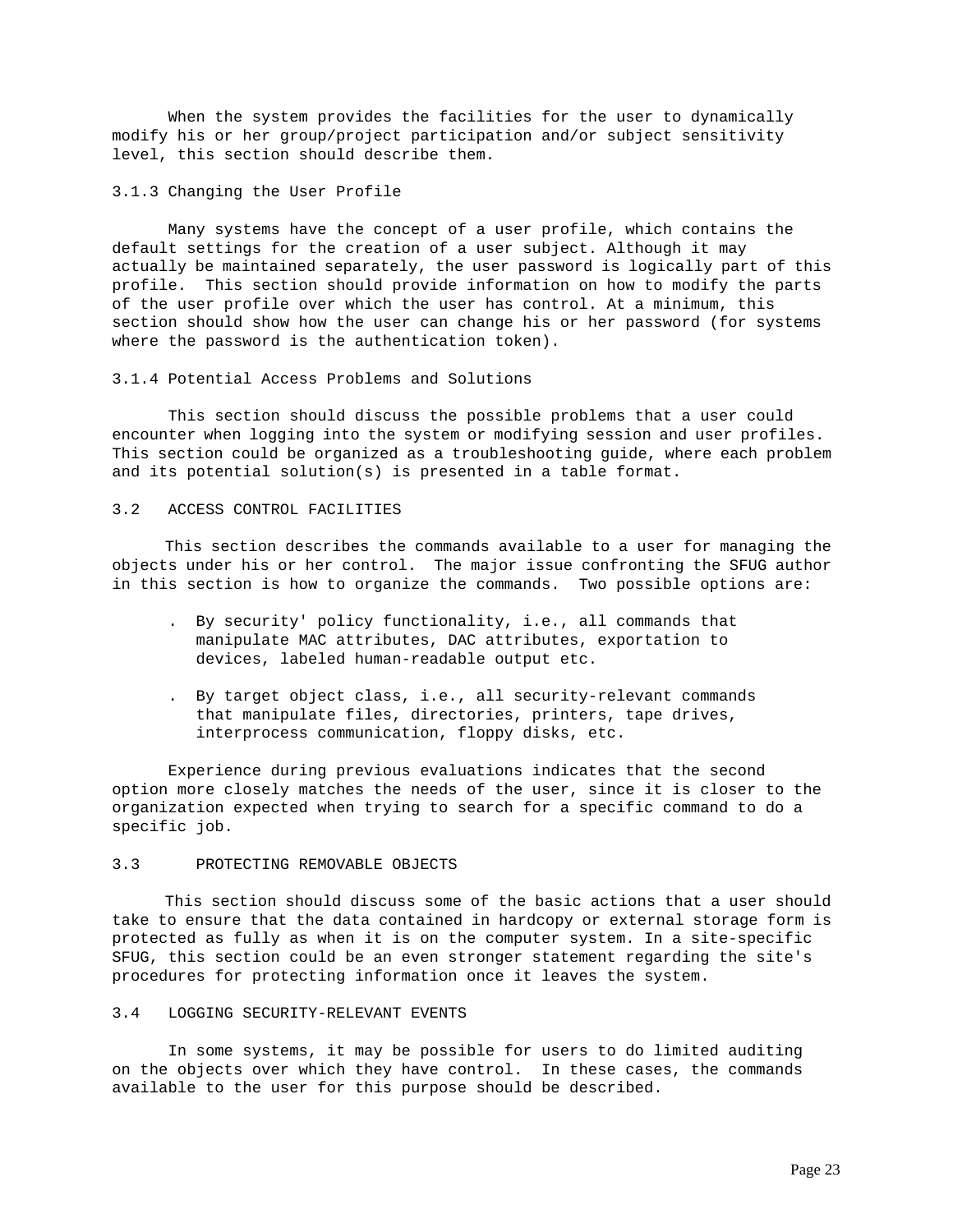When the system provides the facilities for the user to dynamically modify his or her group/project participation and/or subject sensitivity level, this section should describe them.

#### 3.1.3 Changing the User Profile

 Many systems have the concept of a user profile, which contains the default settings for the creation of a user subject. Although it may actually be maintained separately, the user password is logically part of this profile. This section should provide information on how to modify the parts of the user profile over which the user has control. At a minimum, this section should show how the user can change his or her password (for systems where the password is the authentication token).

## 3.1.4 Potential Access Problems and Solutions

 This section should discuss the possible problems that a user could encounter when logging into the system or modifying session and user profiles. This section could be organized as a troubleshooting guide, where each problem and its potential solution(s) is presented in a table format.

# 3.2 ACCESS CONTROL FACILITIES

 This section describes the commands available to a user for managing the objects under his or her control. The major issue confronting the SFUG author in this section is how to organize the commands. Two possible options are:

- . By security' policy functionality, i.e., all commands that manipulate MAC attributes, DAC attributes, exportation to devices, labeled human-readable output etc.
- . By target object class, i.e., all security-relevant commands that manipulate files, directories, printers, tape drives, interprocess communication, floppy disks, etc.

 Experience during previous evaluations indicates that the second option more closely matches the needs of the user, since it is closer to the organization expected when trying to search for a specific command to do a specific job.

## 3.3 PROTECTING REMOVABLE OBJECTS

 This section should discuss some of the basic actions that a user should take to ensure that the data contained in hardcopy or external storage form is protected as fully as when it is on the computer system. In a site-specific SFUG, this section could be an even stronger statement regarding the site's procedures for protecting information once it leaves the system.

#### 3.4 LOGGING SECURITY-RELEVANT EVENTS

 In some systems, it may be possible for users to do limited auditing on the objects over which they have control. In these cases, the commands available to the user for this purpose should be described.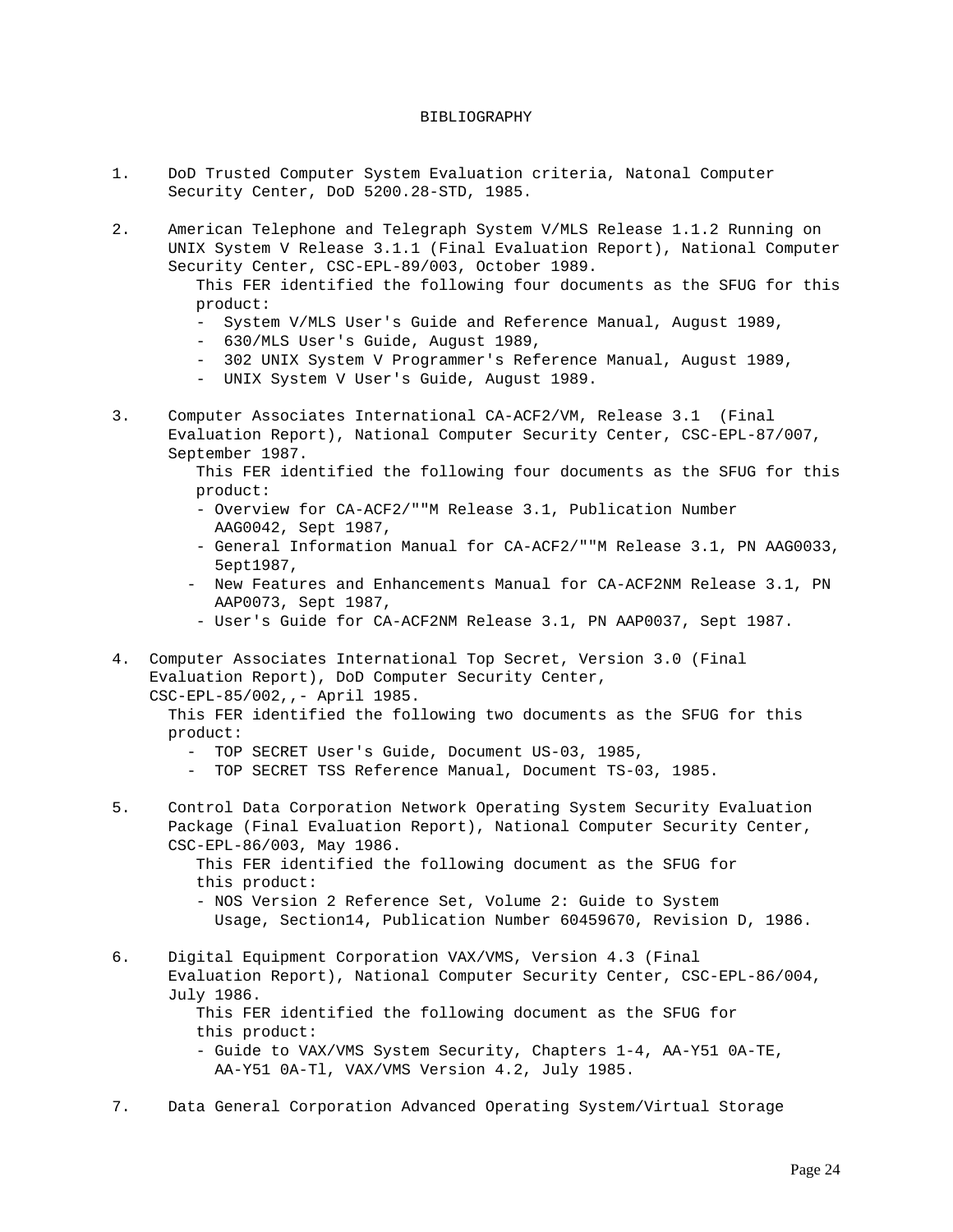#### BIBLIOGRAPHY

- 1. DoD Trusted Computer System Evaluation criteria, Natonal Computer Security Center, DoD 5200.28-STD, 1985.
- 2. American Telephone and Telegraph System V/MLS Release 1.1.2 Running on UNIX System V Release 3.1.1 (Final Evaluation Report), National Computer Security Center, CSC-EPL-89/003, October 1989.

 This FER identified the following four documents as the SFUG for this product:

- System V/MLS User's Guide and Reference Manual, August 1989,
- 630/MLS User's Guide, August 1989,
- 302 UNIX System V Programmer's Reference Manual, August 1989,
- UNIX System V User's Guide, August 1989.
- 3. Computer Associates International CA-ACF2/VM, Release 3.1 (Final Evaluation Report), National Computer Security Center, CSC-EPL-87/007, September 1987.
	- This FER identified the following four documents as the SFUG for this product:
	- Overview for CA-ACF2/""M Release 3.1, Publication Number AAG0042, Sept 1987,
	- General Information Manual for CA-ACF2/""M Release 3.1, PN AAG0033, 5ept1987,
	- New Features and Enhancements Manual for CA-ACF2NM Release 3.1, PN AAP0073, Sept 1987,
	- User's Guide for CA-ACF2NM Release 3.1, PN AAP0037, Sept 1987.
- 4. Computer Associates International Top Secret, Version 3.0 (Final Evaluation Report), DoD Computer Security Center, CSC-EPL-85/002,,- April 1985.

 This FER identified the following two documents as the SFUG for this product:

- TOP SECRET User's Guide, Document US-03, 1985,
- TOP SECRET TSS Reference Manual, Document TS-03, 1985.
- 5. Control Data Corporation Network Operating System Security Evaluation Package (Final Evaluation Report), National Computer Security Center, CSC-EPL-86/003, May 1986.

 This FER identified the following document as the SFUG for this product:

- NOS Version 2 Reference Set, Volume 2: Guide to System Usage, Section14, Publication Number 60459670, Revision D, 1986.
- 6. Digital Equipment Corporation VAX/VMS, Version 4.3 (Final Evaluation Report), National Computer Security Center, CSC-EPL-86/004, July 1986. This FER identified the following document as the SFUG for this product: - Guide to VAX/VMS System Security, Chapters 1-4, AA-Y51 0A-TE, AA-Y51 0A-Tl, VAX/VMS Version 4.2, July 1985.
- 7. Data General Corporation Advanced Operating System/Virtual Storage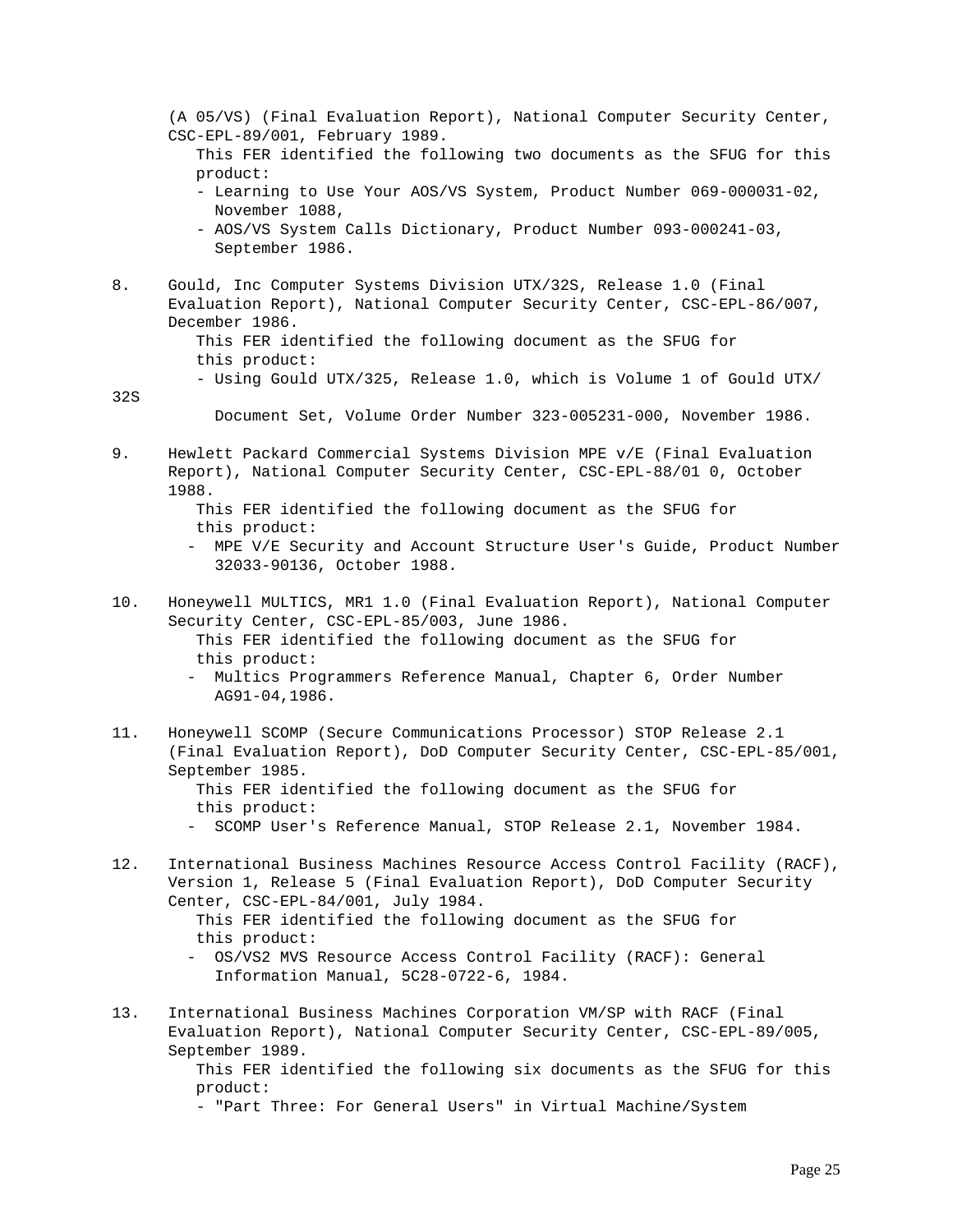(A 05/VS) (Final Evaluation Report), National Computer Security Center, CSC-EPL-89/001, February 1989. This FER identified the following two documents as the SFUG for this product: - Learning to Use Your AOS/VS System, Product Number 069-000031-02, November 1088, - AOS/VS System Calls Dictionary, Product Number 093-000241-03, September 1986. 8. Gould, Inc Computer Systems Division UTX/32S, Release 1.0 (Final Evaluation Report), National Computer Security Center, CSC-EPL-86/007, December 1986. This FER identified the following document as the SFUG for this product: - Using Gould UTX/325, Release 1.0, which is Volume 1 of Gould UTX/ 32S Document Set, Volume Order Number 323-005231-000, November 1986. 9. Hewlett Packard Commercial Systems Division MPE v/E (Final Evaluation Report), National Computer Security Center, CSC-EPL-88/01 0, October 1988. This FER identified the following document as the SFUG for this product: - MPE V/E Security and Account Structure User's Guide, Product Number 32033-90136, October 1988. 10. Honeywell MULTICS, MR1 1.0 (Final Evaluation Report), National Computer Security Center, CSC-EPL-85/003, June 1986. This FER identified the following document as the SFUG for this product: - Multics Programmers Reference Manual, Chapter 6, Order Number AG91-04,1986. 11. Honeywell SCOMP (Secure Communications Processor) STOP Release 2.1 (Final Evaluation Report), DoD Computer Security Center, CSC-EPL-85/001, September 1985. This FER identified the following document as the SFUG for this product: - SCOMP User's Reference Manual, STOP Release 2.1, November 1984. 12. International Business Machines Resource Access Control Facility (RACF), Version 1, Release 5 (Final Evaluation Report), DoD Computer Security Center, CSC-EPL-84/001, July 1984. This FER identified the following document as the SFUG for this product: - OS/VS2 MVS Resource Access Control Facility (RACF): General Information Manual, 5C28-0722-6, 1984. 13. International Business Machines Corporation VM/SP with RACF (Final Evaluation Report), National Computer Security Center, CSC-EPL-89/005, September 1989. This FER identified the following six documents as the SFUG for this product:

- "Part Three: For General Users" in Virtual Machine/System